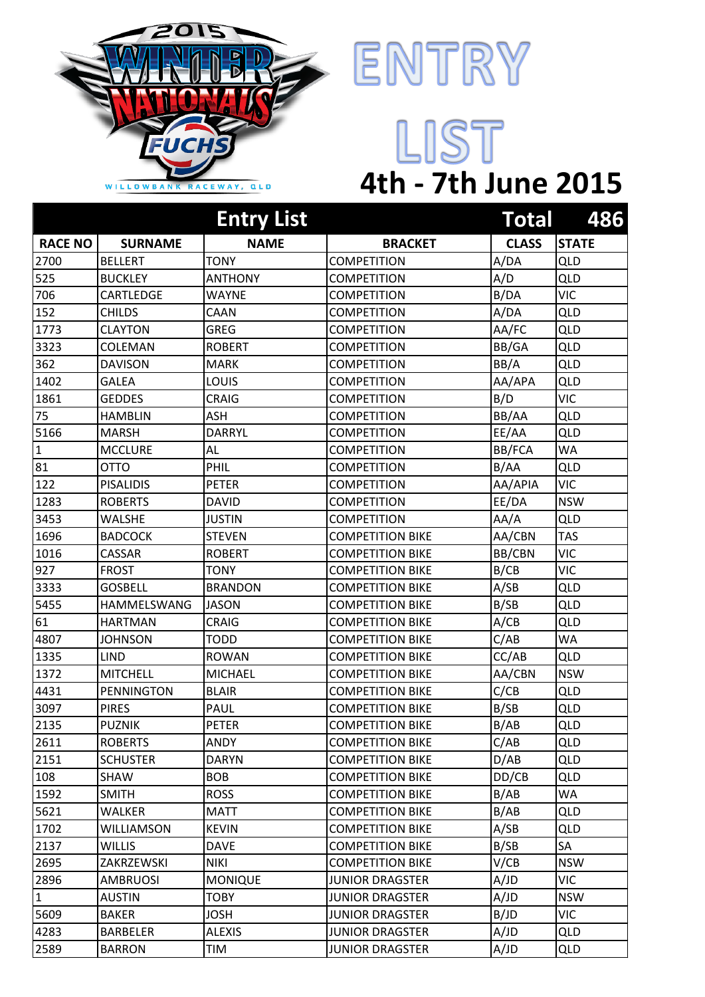



## LIST **4th - 7th June 2015**

|                |                   | <b>Entry List</b> |                         | Total        | 486          |
|----------------|-------------------|-------------------|-------------------------|--------------|--------------|
| <b>RACE NO</b> | <b>SURNAME</b>    | <b>NAME</b>       | <b>BRACKET</b>          | <b>CLASS</b> | <b>STATE</b> |
| 2700           | <b>BELLERT</b>    | <b>TONY</b>       | <b>COMPETITION</b>      | A/DA         | <b>QLD</b>   |
| 525            | <b>BUCKLEY</b>    | <b>ANTHONY</b>    | <b>COMPETITION</b>      | A/D          | QLD          |
| 706            | CARTLEDGE         | WAYNE             | <b>COMPETITION</b>      | B/DA         | <b>VIC</b>   |
| 152            | <b>CHILDS</b>     | CAAN              | <b>COMPETITION</b>      | A/DA         | <b>QLD</b>   |
| 1773           | <b>CLAYTON</b>    | <b>GREG</b>       | <b>COMPETITION</b>      | AA/FC        | <b>QLD</b>   |
| 3323           | COLEMAN           | <b>ROBERT</b>     | <b>COMPETITION</b>      | BB/GA        | <b>QLD</b>   |
| 362            | <b>DAVISON</b>    | <b>MARK</b>       | <b>COMPETITION</b>      | BB/A         | <b>QLD</b>   |
| 1402           | <b>GALEA</b>      | LOUIS             | <b>COMPETITION</b>      | AA/APA       | <b>QLD</b>   |
| 1861           | <b>GEDDES</b>     | CRAIG             | <b>COMPETITION</b>      | B/D          | <b>VIC</b>   |
| 75             | <b>HAMBLIN</b>    | ASH               | <b>COMPETITION</b>      | BB/AA        | <b>QLD</b>   |
| 5166           | <b>MARSH</b>      | <b>DARRYL</b>     | <b>COMPETITION</b>      | EE/AA        | <b>QLD</b>   |
| $\mathbf{1}$   | <b>MCCLURE</b>    | AL                | <b>COMPETITION</b>      | BB/FCA       | WA           |
| 81             | <b>OTTO</b>       | PHIL              | <b>COMPETITION</b>      | B/AA         | <b>QLD</b>   |
| 122            | <b>PISALIDIS</b>  | <b>PETER</b>      | <b>COMPETITION</b>      | AA/APIA      | <b>VIC</b>   |
| 1283           | <b>ROBERTS</b>    | <b>DAVID</b>      | <b>COMPETITION</b>      | EE/DA        | <b>NSW</b>   |
| 3453           | WALSHE            | <b>JUSTIN</b>     | <b>COMPETITION</b>      | AA/A         | <b>QLD</b>   |
| 1696           | <b>BADCOCK</b>    | <b>STEVEN</b>     | <b>COMPETITION BIKE</b> | AA/CBN       | <b>TAS</b>   |
| 1016           | <b>CASSAR</b>     | <b>ROBERT</b>     | <b>COMPETITION BIKE</b> | BB/CBN       | <b>VIC</b>   |
| 927            | <b>FROST</b>      | <b>TONY</b>       | <b>COMPETITION BIKE</b> | B/CB         | <b>VIC</b>   |
| 3333           | <b>GOSBELL</b>    | <b>BRANDON</b>    | <b>COMPETITION BIKE</b> | A/SB         | <b>QLD</b>   |
| 5455           | HAMMELSWANG       | <b>JASON</b>      | <b>COMPETITION BIKE</b> | B/SB         | <b>QLD</b>   |
| 61             | <b>HARTMAN</b>    | <b>CRAIG</b>      | <b>COMPETITION BIKE</b> | A/CB         | <b>QLD</b>   |
| 4807           | <b>JOHNSON</b>    | <b>TODD</b>       | <b>COMPETITION BIKE</b> | C/AB         | <b>WA</b>    |
| 1335           | <b>LIND</b>       | <b>ROWAN</b>      | <b>COMPETITION BIKE</b> | CC/AB        | <b>QLD</b>   |
| 1372           | <b>MITCHELL</b>   | <b>MICHAEL</b>    | <b>COMPETITION BIKE</b> | AA/CBN       | <b>NSW</b>   |
| 4431           | <b>PENNINGTON</b> | <b>BLAIR</b>      | <b>COMPETITION BIKE</b> | C/CB         | <b>QLD</b>   |
| 3097           | <b>PIRES</b>      | PAUL              | <b>COMPETITION BIKE</b> | B/SB         | QLD          |
| 2135           | <b>PUZNIK</b>     | <b>PETER</b>      | <b>COMPETITION BIKE</b> | B/AB         | <b>QLD</b>   |
| 2611           | <b>ROBERTS</b>    | ANDY              | <b>COMPETITION BIKE</b> | C/AB         | <b>QLD</b>   |
| 2151           | <b>SCHUSTER</b>   | <b>DARYN</b>      | <b>COMPETITION BIKE</b> | D/AB         | <b>QLD</b>   |
| 108            | <b>SHAW</b>       | <b>BOB</b>        | <b>COMPETITION BIKE</b> | DD/CB        | <b>QLD</b>   |
| 1592           | <b>SMITH</b>      | <b>ROSS</b>       | <b>COMPETITION BIKE</b> | B/AB         | <b>WA</b>    |
| 5621           | WALKER            | MATT              | <b>COMPETITION BIKE</b> | B/AB         | <b>QLD</b>   |
| 1702           | <b>WILLIAMSON</b> | <b>KEVIN</b>      | <b>COMPETITION BIKE</b> | A/SB         | QLD          |
| 2137           | <b>WILLIS</b>     | <b>DAVE</b>       | <b>COMPETITION BIKE</b> | B/SB         | SA           |
| 2695           | ZAKRZEWSKI        | <b>NIKI</b>       | <b>COMPETITION BIKE</b> | V/CB         | <b>NSW</b>   |
| 2896           | AMBRUOSI          | <b>MONIQUE</b>    | <b>JUNIOR DRAGSTER</b>  | A/JD         | <b>VIC</b>   |
| $\mathbf{1}$   | <b>AUSTIN</b>     | <b>TOBY</b>       | <b>JUNIOR DRAGSTER</b>  | A/JD         | <b>NSW</b>   |
| 5609           | <b>BAKER</b>      | <b>JOSH</b>       | <b>JUNIOR DRAGSTER</b>  | B/JD         | <b>VIC</b>   |
| 4283           | <b>BARBELER</b>   | <b>ALEXIS</b>     | <b>JUNIOR DRAGSTER</b>  | A/JD         | <b>QLD</b>   |
| 2589           | <b>BARRON</b>     | TIM               | <b>JUNIOR DRAGSTER</b>  | A/JD         | <b>QLD</b>   |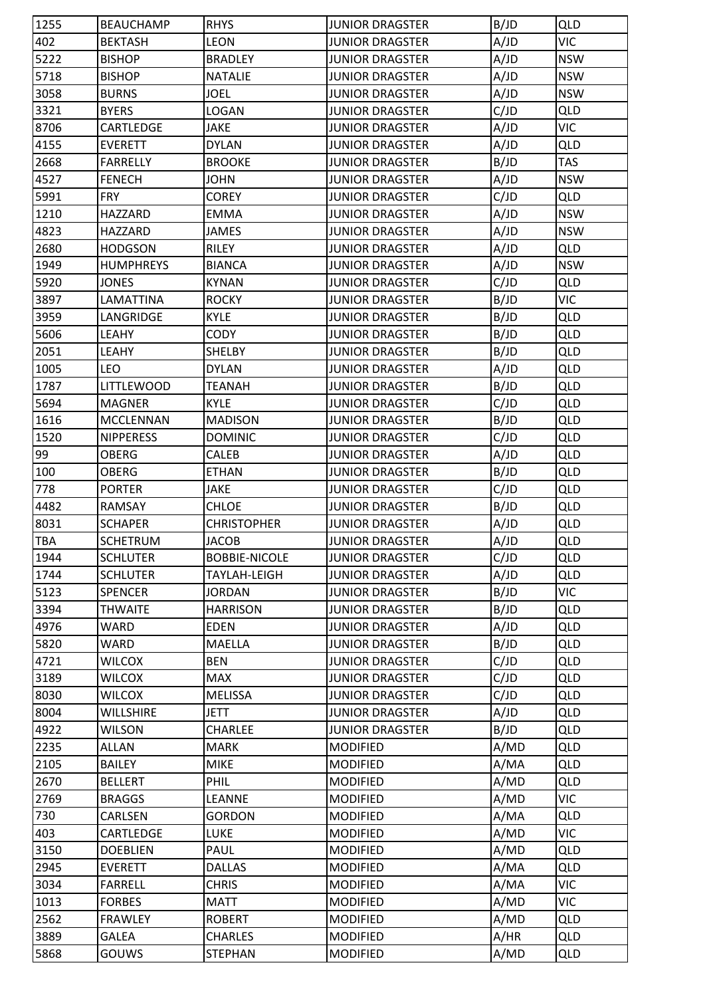| 402<br><b>LEON</b><br>A/JD<br><b>VIC</b><br><b>BEKTASH</b><br><b>JUNIOR DRAGSTER</b><br>5222<br>A/JD<br><b>NSW</b><br><b>BISHOP</b><br><b>BRADLEY</b><br><b>JUNIOR DRAGSTER</b><br>5718<br>A/JD<br><b>BISHOP</b><br><b>NATALIE</b><br><b>JUNIOR DRAGSTER</b><br><b>NSW</b><br>A/JD<br>3058<br><b>BURNS</b><br><b>JOEL</b><br><b>NSW</b><br><b>JUNIOR DRAGSTER</b><br>C/JD<br>3321<br><b>BYERS</b><br>LOGAN<br><b>JUNIOR DRAGSTER</b><br><b>QLD</b><br><b>JAKE</b><br>A/JD<br><b>VIC</b><br>CARTLEDGE<br><b>JUNIOR DRAGSTER</b><br>A/JD<br><b>QLD</b><br><b>DYLAN</b><br><b>EVERETT</b><br><b>JUNIOR DRAGSTER</b><br>2668<br>B/JD<br><b>TAS</b><br><b>FARRELLY</b><br><b>BROOKE</b><br><b>JUNIOR DRAGSTER</b><br>A/JD<br><b>NSW</b><br><b>FENECH</b><br><b>JOHN</b><br><b>JUNIOR DRAGSTER</b><br>C/JD<br>5991<br><b>FRY</b><br><b>COREY</b><br><b>JUNIOR DRAGSTER</b><br><b>QLD</b><br>A/JD<br><b>NSW</b><br>HAZZARD<br><b>EMMA</b><br><b>JUNIOR DRAGSTER</b><br>A/JD<br>4823<br>JAMES<br><b>NSW</b><br>HAZZARD<br><b>JUNIOR DRAGSTER</b><br>RILEY<br>A/JD<br><b>QLD</b><br>2680<br><b>HODGSON</b><br><b>JUNIOR DRAGSTER</b><br>A/JD<br>1949<br><b>NSW</b><br><b>HUMPHREYS</b><br><b>BIANCA</b><br><b>JUNIOR DRAGSTER</b><br>C/JD<br>5920<br><b>JONES</b><br><b>KYNAN</b><br><b>JUNIOR DRAGSTER</b><br><b>QLD</b><br>B/JD<br><b>VIC</b><br>3897<br>LAMATTINA<br><b>ROCKY</b><br><b>JUNIOR DRAGSTER</b><br>3959<br><b>KYLE</b><br>B/JD<br><b>QLD</b><br>LANGRIDGE<br><b>JUNIOR DRAGSTER</b><br>B/JD<br>5606<br>LEAHY<br>CODY<br><b>QLD</b><br><b>JUNIOR DRAGSTER</b><br><b>SHELBY</b><br>B/JD<br><b>QLD</b><br>2051<br>LEAHY<br><b>JUNIOR DRAGSTER</b><br>1005<br>A/JD<br><b>QLD</b><br><b>DYLAN</b><br><b>JUNIOR DRAGSTER</b><br><b>LEO</b><br>B/JD<br>1787<br><b>QLD</b><br><b>LITTLEWOOD</b><br><b>TEANAH</b><br><b>JUNIOR DRAGSTER</b><br>C/JD<br>5694<br><b>KYLE</b><br><b>JUNIOR DRAGSTER</b><br><b>QLD</b><br><b>MAGNER</b><br>B/JD<br>1616<br><b>QLD</b><br><b>MCCLENNAN</b><br><b>MADISON</b><br><b>JUNIOR DRAGSTER</b><br>C/JD<br>QLD<br>1520<br><b>NIPPERESS</b><br><b>DOMINIC</b><br><b>JUNIOR DRAGSTER</b><br>99<br><b>OBERG</b><br>CALEB<br>A/JD<br><b>QLD</b><br><b>JUNIOR DRAGSTER</b><br>100<br>B/JD<br><b>QLD</b><br><b>OBERG</b><br><b>ETHAN</b><br><b>JUNIOR DRAGSTER</b><br>778<br>C/JD<br><b>QLD</b><br><b>PORTER</b><br><b>JAKE</b><br><b>JUNIOR DRAGSTER</b><br>B/JD<br><b>QLD</b><br>4482<br><b>RAMSAY</b><br><b>CHLOE</b><br><b>JUNIOR DRAGSTER</b><br>A/JD<br>8031<br><b>CHRISTOPHER</b><br><b>JUNIOR DRAGSTER</b><br><b>QLD</b><br><b>SCHAPER</b><br><b>TBA</b><br><b>SCHETRUM</b><br>A/JD<br><b>QLD</b><br><b>JACOB</b><br><b>JUNIOR DRAGSTER</b><br>C/JD<br>1944<br><b>SCHLUTER</b><br><b>BOBBIE-NICOLE</b><br><b>JUNIOR DRAGSTER</b><br><b>QLD</b><br>1744<br><b>SCHLUTER</b><br>TAYLAH-LEIGH<br>A/JD<br><b>QLD</b><br><b>JUNIOR DRAGSTER</b><br>5123<br>B/JD<br><b>VIC</b><br><b>SPENCER</b><br><b>JORDAN</b><br><b>JUNIOR DRAGSTER</b><br>B/JD<br>3394<br><b>QLD</b><br><b>THWAITE</b><br><b>HARRISON</b><br><b>JUNIOR DRAGSTER</b><br>4976<br><b>WARD</b><br>A/JD<br><b>QLD</b><br><b>EDEN</b><br><b>JUNIOR DRAGSTER</b><br>5820<br>B/JD<br><b>WARD</b><br><b>MAELLA</b><br><b>QLD</b><br><b>JUNIOR DRAGSTER</b><br>C/JD<br><b>QLD</b><br>4721<br><b>WILCOX</b><br><b>BEN</b><br><b>JUNIOR DRAGSTER</b><br>3189<br>C/JD<br><b>QLD</b><br><b>WILCOX</b><br><b>MAX</b><br><b>JUNIOR DRAGSTER</b><br>C/JD<br>8030<br><b>WILCOX</b><br><b>JUNIOR DRAGSTER</b><br><b>QLD</b><br><b>MELISSA</b><br>A/JD<br>8004<br><b>QLD</b><br><b>WILLSHIRE</b><br>JETT<br><b>JUNIOR DRAGSTER</b><br>B/JD<br>4922<br><b>WILSON</b><br><b>CHARLEE</b><br><b>JUNIOR DRAGSTER</b><br><b>QLD</b><br>2235<br>A/MD<br><b>QLD</b><br><b>ALLAN</b><br><b>MARK</b><br><b>MODIFIED</b><br>2105<br><b>MIKE</b><br>A/MA<br><b>QLD</b><br><b>BAILEY</b><br><b>MODIFIED</b><br>2670<br>A/MD<br><b>BELLERT</b><br>PHIL<br><b>MODIFIED</b><br><b>QLD</b><br><b>VIC</b><br>2769<br>A/MD<br><b>LEANNE</b><br><b>MODIFIED</b><br><b>BRAGGS</b><br>730<br>A/MA<br><b>QLD</b><br>CARLSEN<br><b>GORDON</b><br><b>MODIFIED</b><br>A/MD<br><b>VIC</b><br>403<br>CARTLEDGE<br><b>LUKE</b><br><b>MODIFIED</b><br>3150<br><b>DOEBLIEN</b><br>PAUL<br><b>MODIFIED</b><br>A/MD<br><b>QLD</b><br>2945<br>A/MA<br><b>QLD</b><br><b>EVERETT</b><br><b>DALLAS</b><br><b>MODIFIED</b><br>3034<br>A/MA<br><b>VIC</b><br><b>FARRELL</b><br><b>CHRIS</b><br><b>MODIFIED</b><br>1013<br>A/MD<br><b>VIC</b><br><b>FORBES</b><br><b>MATT</b><br><b>MODIFIED</b><br>A/MD<br>2562<br><b>FRAWLEY</b><br><b>QLD</b><br><b>ROBERT</b><br><b>MODIFIED</b><br>3889<br>A/HR<br><b>GALEA</b><br><b>CHARLES</b><br><b>MODIFIED</b><br><b>QLD</b><br>5868<br><b>GOUWS</b><br><b>STEPHAN</b><br><b>MODIFIED</b><br>A/MD<br><b>QLD</b> | 1255 | <b>BEAUCHAMP</b> | <b>RHYS</b> | <b>JUNIOR DRAGSTER</b> | B/JD | QLD |
|-----------------------------------------------------------------------------------------------------------------------------------------------------------------------------------------------------------------------------------------------------------------------------------------------------------------------------------------------------------------------------------------------------------------------------------------------------------------------------------------------------------------------------------------------------------------------------------------------------------------------------------------------------------------------------------------------------------------------------------------------------------------------------------------------------------------------------------------------------------------------------------------------------------------------------------------------------------------------------------------------------------------------------------------------------------------------------------------------------------------------------------------------------------------------------------------------------------------------------------------------------------------------------------------------------------------------------------------------------------------------------------------------------------------------------------------------------------------------------------------------------------------------------------------------------------------------------------------------------------------------------------------------------------------------------------------------------------------------------------------------------------------------------------------------------------------------------------------------------------------------------------------------------------------------------------------------------------------------------------------------------------------------------------------------------------------------------------------------------------------------------------------------------------------------------------------------------------------------------------------------------------------------------------------------------------------------------------------------------------------------------------------------------------------------------------------------------------------------------------------------------------------------------------------------------------------------------------------------------------------------------------------------------------------------------------------------------------------------------------------------------------------------------------------------------------------------------------------------------------------------------------------------------------------------------------------------------------------------------------------------------------------------------------------------------------------------------------------------------------------------------------------------------------------------------------------------------------------------------------------------------------------------------------------------------------------------------------------------------------------------------------------------------------------------------------------------------------------------------------------------------------------------------------------------------------------------------------------------------------------------------------------------------------------------------------------------------------------------------------------------------------------------------------------------------------------------------------------------------------------------------------------------------------------------------------------------------------------------------------------------------------------------------------------------------------------------------------------------------------------------------------------------------------------------------------------------------------------------------------------------------------------------------------------------------------------------------------------------------------------------------------------------------------------------------------------------------------------------------------------------------------------------------------------------------------------------------------------------------------------------------------------------------------------------------------------------------------------------------------------------------------------------------------------------|------|------------------|-------------|------------------------|------|-----|
|                                                                                                                                                                                                                                                                                                                                                                                                                                                                                                                                                                                                                                                                                                                                                                                                                                                                                                                                                                                                                                                                                                                                                                                                                                                                                                                                                                                                                                                                                                                                                                                                                                                                                                                                                                                                                                                                                                                                                                                                                                                                                                                                                                                                                                                                                                                                                                                                                                                                                                                                                                                                                                                                                                                                                                                                                                                                                                                                                                                                                                                                                                                                                                                                                                                                                                                                                                                                                                                                                                                                                                                                                                                                                                                                                                                                                                                                                                                                                                                                                                                                                                                                                                                                                                                                                                                                                                                                                                                                                                                                                                                                                                                                                                                                                                                               |      |                  |             |                        |      |     |
|                                                                                                                                                                                                                                                                                                                                                                                                                                                                                                                                                                                                                                                                                                                                                                                                                                                                                                                                                                                                                                                                                                                                                                                                                                                                                                                                                                                                                                                                                                                                                                                                                                                                                                                                                                                                                                                                                                                                                                                                                                                                                                                                                                                                                                                                                                                                                                                                                                                                                                                                                                                                                                                                                                                                                                                                                                                                                                                                                                                                                                                                                                                                                                                                                                                                                                                                                                                                                                                                                                                                                                                                                                                                                                                                                                                                                                                                                                                                                                                                                                                                                                                                                                                                                                                                                                                                                                                                                                                                                                                                                                                                                                                                                                                                                                                               |      |                  |             |                        |      |     |
|                                                                                                                                                                                                                                                                                                                                                                                                                                                                                                                                                                                                                                                                                                                                                                                                                                                                                                                                                                                                                                                                                                                                                                                                                                                                                                                                                                                                                                                                                                                                                                                                                                                                                                                                                                                                                                                                                                                                                                                                                                                                                                                                                                                                                                                                                                                                                                                                                                                                                                                                                                                                                                                                                                                                                                                                                                                                                                                                                                                                                                                                                                                                                                                                                                                                                                                                                                                                                                                                                                                                                                                                                                                                                                                                                                                                                                                                                                                                                                                                                                                                                                                                                                                                                                                                                                                                                                                                                                                                                                                                                                                                                                                                                                                                                                                               |      |                  |             |                        |      |     |
|                                                                                                                                                                                                                                                                                                                                                                                                                                                                                                                                                                                                                                                                                                                                                                                                                                                                                                                                                                                                                                                                                                                                                                                                                                                                                                                                                                                                                                                                                                                                                                                                                                                                                                                                                                                                                                                                                                                                                                                                                                                                                                                                                                                                                                                                                                                                                                                                                                                                                                                                                                                                                                                                                                                                                                                                                                                                                                                                                                                                                                                                                                                                                                                                                                                                                                                                                                                                                                                                                                                                                                                                                                                                                                                                                                                                                                                                                                                                                                                                                                                                                                                                                                                                                                                                                                                                                                                                                                                                                                                                                                                                                                                                                                                                                                                               |      |                  |             |                        |      |     |
|                                                                                                                                                                                                                                                                                                                                                                                                                                                                                                                                                                                                                                                                                                                                                                                                                                                                                                                                                                                                                                                                                                                                                                                                                                                                                                                                                                                                                                                                                                                                                                                                                                                                                                                                                                                                                                                                                                                                                                                                                                                                                                                                                                                                                                                                                                                                                                                                                                                                                                                                                                                                                                                                                                                                                                                                                                                                                                                                                                                                                                                                                                                                                                                                                                                                                                                                                                                                                                                                                                                                                                                                                                                                                                                                                                                                                                                                                                                                                                                                                                                                                                                                                                                                                                                                                                                                                                                                                                                                                                                                                                                                                                                                                                                                                                                               |      |                  |             |                        |      |     |
|                                                                                                                                                                                                                                                                                                                                                                                                                                                                                                                                                                                                                                                                                                                                                                                                                                                                                                                                                                                                                                                                                                                                                                                                                                                                                                                                                                                                                                                                                                                                                                                                                                                                                                                                                                                                                                                                                                                                                                                                                                                                                                                                                                                                                                                                                                                                                                                                                                                                                                                                                                                                                                                                                                                                                                                                                                                                                                                                                                                                                                                                                                                                                                                                                                                                                                                                                                                                                                                                                                                                                                                                                                                                                                                                                                                                                                                                                                                                                                                                                                                                                                                                                                                                                                                                                                                                                                                                                                                                                                                                                                                                                                                                                                                                                                                               | 8706 |                  |             |                        |      |     |
|                                                                                                                                                                                                                                                                                                                                                                                                                                                                                                                                                                                                                                                                                                                                                                                                                                                                                                                                                                                                                                                                                                                                                                                                                                                                                                                                                                                                                                                                                                                                                                                                                                                                                                                                                                                                                                                                                                                                                                                                                                                                                                                                                                                                                                                                                                                                                                                                                                                                                                                                                                                                                                                                                                                                                                                                                                                                                                                                                                                                                                                                                                                                                                                                                                                                                                                                                                                                                                                                                                                                                                                                                                                                                                                                                                                                                                                                                                                                                                                                                                                                                                                                                                                                                                                                                                                                                                                                                                                                                                                                                                                                                                                                                                                                                                                               | 4155 |                  |             |                        |      |     |
|                                                                                                                                                                                                                                                                                                                                                                                                                                                                                                                                                                                                                                                                                                                                                                                                                                                                                                                                                                                                                                                                                                                                                                                                                                                                                                                                                                                                                                                                                                                                                                                                                                                                                                                                                                                                                                                                                                                                                                                                                                                                                                                                                                                                                                                                                                                                                                                                                                                                                                                                                                                                                                                                                                                                                                                                                                                                                                                                                                                                                                                                                                                                                                                                                                                                                                                                                                                                                                                                                                                                                                                                                                                                                                                                                                                                                                                                                                                                                                                                                                                                                                                                                                                                                                                                                                                                                                                                                                                                                                                                                                                                                                                                                                                                                                                               |      |                  |             |                        |      |     |
|                                                                                                                                                                                                                                                                                                                                                                                                                                                                                                                                                                                                                                                                                                                                                                                                                                                                                                                                                                                                                                                                                                                                                                                                                                                                                                                                                                                                                                                                                                                                                                                                                                                                                                                                                                                                                                                                                                                                                                                                                                                                                                                                                                                                                                                                                                                                                                                                                                                                                                                                                                                                                                                                                                                                                                                                                                                                                                                                                                                                                                                                                                                                                                                                                                                                                                                                                                                                                                                                                                                                                                                                                                                                                                                                                                                                                                                                                                                                                                                                                                                                                                                                                                                                                                                                                                                                                                                                                                                                                                                                                                                                                                                                                                                                                                                               | 4527 |                  |             |                        |      |     |
|                                                                                                                                                                                                                                                                                                                                                                                                                                                                                                                                                                                                                                                                                                                                                                                                                                                                                                                                                                                                                                                                                                                                                                                                                                                                                                                                                                                                                                                                                                                                                                                                                                                                                                                                                                                                                                                                                                                                                                                                                                                                                                                                                                                                                                                                                                                                                                                                                                                                                                                                                                                                                                                                                                                                                                                                                                                                                                                                                                                                                                                                                                                                                                                                                                                                                                                                                                                                                                                                                                                                                                                                                                                                                                                                                                                                                                                                                                                                                                                                                                                                                                                                                                                                                                                                                                                                                                                                                                                                                                                                                                                                                                                                                                                                                                                               |      |                  |             |                        |      |     |
|                                                                                                                                                                                                                                                                                                                                                                                                                                                                                                                                                                                                                                                                                                                                                                                                                                                                                                                                                                                                                                                                                                                                                                                                                                                                                                                                                                                                                                                                                                                                                                                                                                                                                                                                                                                                                                                                                                                                                                                                                                                                                                                                                                                                                                                                                                                                                                                                                                                                                                                                                                                                                                                                                                                                                                                                                                                                                                                                                                                                                                                                                                                                                                                                                                                                                                                                                                                                                                                                                                                                                                                                                                                                                                                                                                                                                                                                                                                                                                                                                                                                                                                                                                                                                                                                                                                                                                                                                                                                                                                                                                                                                                                                                                                                                                                               | 1210 |                  |             |                        |      |     |
|                                                                                                                                                                                                                                                                                                                                                                                                                                                                                                                                                                                                                                                                                                                                                                                                                                                                                                                                                                                                                                                                                                                                                                                                                                                                                                                                                                                                                                                                                                                                                                                                                                                                                                                                                                                                                                                                                                                                                                                                                                                                                                                                                                                                                                                                                                                                                                                                                                                                                                                                                                                                                                                                                                                                                                                                                                                                                                                                                                                                                                                                                                                                                                                                                                                                                                                                                                                                                                                                                                                                                                                                                                                                                                                                                                                                                                                                                                                                                                                                                                                                                                                                                                                                                                                                                                                                                                                                                                                                                                                                                                                                                                                                                                                                                                                               |      |                  |             |                        |      |     |
|                                                                                                                                                                                                                                                                                                                                                                                                                                                                                                                                                                                                                                                                                                                                                                                                                                                                                                                                                                                                                                                                                                                                                                                                                                                                                                                                                                                                                                                                                                                                                                                                                                                                                                                                                                                                                                                                                                                                                                                                                                                                                                                                                                                                                                                                                                                                                                                                                                                                                                                                                                                                                                                                                                                                                                                                                                                                                                                                                                                                                                                                                                                                                                                                                                                                                                                                                                                                                                                                                                                                                                                                                                                                                                                                                                                                                                                                                                                                                                                                                                                                                                                                                                                                                                                                                                                                                                                                                                                                                                                                                                                                                                                                                                                                                                                               |      |                  |             |                        |      |     |
|                                                                                                                                                                                                                                                                                                                                                                                                                                                                                                                                                                                                                                                                                                                                                                                                                                                                                                                                                                                                                                                                                                                                                                                                                                                                                                                                                                                                                                                                                                                                                                                                                                                                                                                                                                                                                                                                                                                                                                                                                                                                                                                                                                                                                                                                                                                                                                                                                                                                                                                                                                                                                                                                                                                                                                                                                                                                                                                                                                                                                                                                                                                                                                                                                                                                                                                                                                                                                                                                                                                                                                                                                                                                                                                                                                                                                                                                                                                                                                                                                                                                                                                                                                                                                                                                                                                                                                                                                                                                                                                                                                                                                                                                                                                                                                                               |      |                  |             |                        |      |     |
|                                                                                                                                                                                                                                                                                                                                                                                                                                                                                                                                                                                                                                                                                                                                                                                                                                                                                                                                                                                                                                                                                                                                                                                                                                                                                                                                                                                                                                                                                                                                                                                                                                                                                                                                                                                                                                                                                                                                                                                                                                                                                                                                                                                                                                                                                                                                                                                                                                                                                                                                                                                                                                                                                                                                                                                                                                                                                                                                                                                                                                                                                                                                                                                                                                                                                                                                                                                                                                                                                                                                                                                                                                                                                                                                                                                                                                                                                                                                                                                                                                                                                                                                                                                                                                                                                                                                                                                                                                                                                                                                                                                                                                                                                                                                                                                               |      |                  |             |                        |      |     |
|                                                                                                                                                                                                                                                                                                                                                                                                                                                                                                                                                                                                                                                                                                                                                                                                                                                                                                                                                                                                                                                                                                                                                                                                                                                                                                                                                                                                                                                                                                                                                                                                                                                                                                                                                                                                                                                                                                                                                                                                                                                                                                                                                                                                                                                                                                                                                                                                                                                                                                                                                                                                                                                                                                                                                                                                                                                                                                                                                                                                                                                                                                                                                                                                                                                                                                                                                                                                                                                                                                                                                                                                                                                                                                                                                                                                                                                                                                                                                                                                                                                                                                                                                                                                                                                                                                                                                                                                                                                                                                                                                                                                                                                                                                                                                                                               |      |                  |             |                        |      |     |
|                                                                                                                                                                                                                                                                                                                                                                                                                                                                                                                                                                                                                                                                                                                                                                                                                                                                                                                                                                                                                                                                                                                                                                                                                                                                                                                                                                                                                                                                                                                                                                                                                                                                                                                                                                                                                                                                                                                                                                                                                                                                                                                                                                                                                                                                                                                                                                                                                                                                                                                                                                                                                                                                                                                                                                                                                                                                                                                                                                                                                                                                                                                                                                                                                                                                                                                                                                                                                                                                                                                                                                                                                                                                                                                                                                                                                                                                                                                                                                                                                                                                                                                                                                                                                                                                                                                                                                                                                                                                                                                                                                                                                                                                                                                                                                                               |      |                  |             |                        |      |     |
|                                                                                                                                                                                                                                                                                                                                                                                                                                                                                                                                                                                                                                                                                                                                                                                                                                                                                                                                                                                                                                                                                                                                                                                                                                                                                                                                                                                                                                                                                                                                                                                                                                                                                                                                                                                                                                                                                                                                                                                                                                                                                                                                                                                                                                                                                                                                                                                                                                                                                                                                                                                                                                                                                                                                                                                                                                                                                                                                                                                                                                                                                                                                                                                                                                                                                                                                                                                                                                                                                                                                                                                                                                                                                                                                                                                                                                                                                                                                                                                                                                                                                                                                                                                                                                                                                                                                                                                                                                                                                                                                                                                                                                                                                                                                                                                               |      |                  |             |                        |      |     |
|                                                                                                                                                                                                                                                                                                                                                                                                                                                                                                                                                                                                                                                                                                                                                                                                                                                                                                                                                                                                                                                                                                                                                                                                                                                                                                                                                                                                                                                                                                                                                                                                                                                                                                                                                                                                                                                                                                                                                                                                                                                                                                                                                                                                                                                                                                                                                                                                                                                                                                                                                                                                                                                                                                                                                                                                                                                                                                                                                                                                                                                                                                                                                                                                                                                                                                                                                                                                                                                                                                                                                                                                                                                                                                                                                                                                                                                                                                                                                                                                                                                                                                                                                                                                                                                                                                                                                                                                                                                                                                                                                                                                                                                                                                                                                                                               |      |                  |             |                        |      |     |
|                                                                                                                                                                                                                                                                                                                                                                                                                                                                                                                                                                                                                                                                                                                                                                                                                                                                                                                                                                                                                                                                                                                                                                                                                                                                                                                                                                                                                                                                                                                                                                                                                                                                                                                                                                                                                                                                                                                                                                                                                                                                                                                                                                                                                                                                                                                                                                                                                                                                                                                                                                                                                                                                                                                                                                                                                                                                                                                                                                                                                                                                                                                                                                                                                                                                                                                                                                                                                                                                                                                                                                                                                                                                                                                                                                                                                                                                                                                                                                                                                                                                                                                                                                                                                                                                                                                                                                                                                                                                                                                                                                                                                                                                                                                                                                                               |      |                  |             |                        |      |     |
|                                                                                                                                                                                                                                                                                                                                                                                                                                                                                                                                                                                                                                                                                                                                                                                                                                                                                                                                                                                                                                                                                                                                                                                                                                                                                                                                                                                                                                                                                                                                                                                                                                                                                                                                                                                                                                                                                                                                                                                                                                                                                                                                                                                                                                                                                                                                                                                                                                                                                                                                                                                                                                                                                                                                                                                                                                                                                                                                                                                                                                                                                                                                                                                                                                                                                                                                                                                                                                                                                                                                                                                                                                                                                                                                                                                                                                                                                                                                                                                                                                                                                                                                                                                                                                                                                                                                                                                                                                                                                                                                                                                                                                                                                                                                                                                               |      |                  |             |                        |      |     |
|                                                                                                                                                                                                                                                                                                                                                                                                                                                                                                                                                                                                                                                                                                                                                                                                                                                                                                                                                                                                                                                                                                                                                                                                                                                                                                                                                                                                                                                                                                                                                                                                                                                                                                                                                                                                                                                                                                                                                                                                                                                                                                                                                                                                                                                                                                                                                                                                                                                                                                                                                                                                                                                                                                                                                                                                                                                                                                                                                                                                                                                                                                                                                                                                                                                                                                                                                                                                                                                                                                                                                                                                                                                                                                                                                                                                                                                                                                                                                                                                                                                                                                                                                                                                                                                                                                                                                                                                                                                                                                                                                                                                                                                                                                                                                                                               |      |                  |             |                        |      |     |
|                                                                                                                                                                                                                                                                                                                                                                                                                                                                                                                                                                                                                                                                                                                                                                                                                                                                                                                                                                                                                                                                                                                                                                                                                                                                                                                                                                                                                                                                                                                                                                                                                                                                                                                                                                                                                                                                                                                                                                                                                                                                                                                                                                                                                                                                                                                                                                                                                                                                                                                                                                                                                                                                                                                                                                                                                                                                                                                                                                                                                                                                                                                                                                                                                                                                                                                                                                                                                                                                                                                                                                                                                                                                                                                                                                                                                                                                                                                                                                                                                                                                                                                                                                                                                                                                                                                                                                                                                                                                                                                                                                                                                                                                                                                                                                                               |      |                  |             |                        |      |     |
|                                                                                                                                                                                                                                                                                                                                                                                                                                                                                                                                                                                                                                                                                                                                                                                                                                                                                                                                                                                                                                                                                                                                                                                                                                                                                                                                                                                                                                                                                                                                                                                                                                                                                                                                                                                                                                                                                                                                                                                                                                                                                                                                                                                                                                                                                                                                                                                                                                                                                                                                                                                                                                                                                                                                                                                                                                                                                                                                                                                                                                                                                                                                                                                                                                                                                                                                                                                                                                                                                                                                                                                                                                                                                                                                                                                                                                                                                                                                                                                                                                                                                                                                                                                                                                                                                                                                                                                                                                                                                                                                                                                                                                                                                                                                                                                               |      |                  |             |                        |      |     |
|                                                                                                                                                                                                                                                                                                                                                                                                                                                                                                                                                                                                                                                                                                                                                                                                                                                                                                                                                                                                                                                                                                                                                                                                                                                                                                                                                                                                                                                                                                                                                                                                                                                                                                                                                                                                                                                                                                                                                                                                                                                                                                                                                                                                                                                                                                                                                                                                                                                                                                                                                                                                                                                                                                                                                                                                                                                                                                                                                                                                                                                                                                                                                                                                                                                                                                                                                                                                                                                                                                                                                                                                                                                                                                                                                                                                                                                                                                                                                                                                                                                                                                                                                                                                                                                                                                                                                                                                                                                                                                                                                                                                                                                                                                                                                                                               |      |                  |             |                        |      |     |
|                                                                                                                                                                                                                                                                                                                                                                                                                                                                                                                                                                                                                                                                                                                                                                                                                                                                                                                                                                                                                                                                                                                                                                                                                                                                                                                                                                                                                                                                                                                                                                                                                                                                                                                                                                                                                                                                                                                                                                                                                                                                                                                                                                                                                                                                                                                                                                                                                                                                                                                                                                                                                                                                                                                                                                                                                                                                                                                                                                                                                                                                                                                                                                                                                                                                                                                                                                                                                                                                                                                                                                                                                                                                                                                                                                                                                                                                                                                                                                                                                                                                                                                                                                                                                                                                                                                                                                                                                                                                                                                                                                                                                                                                                                                                                                                               |      |                  |             |                        |      |     |
|                                                                                                                                                                                                                                                                                                                                                                                                                                                                                                                                                                                                                                                                                                                                                                                                                                                                                                                                                                                                                                                                                                                                                                                                                                                                                                                                                                                                                                                                                                                                                                                                                                                                                                                                                                                                                                                                                                                                                                                                                                                                                                                                                                                                                                                                                                                                                                                                                                                                                                                                                                                                                                                                                                                                                                                                                                                                                                                                                                                                                                                                                                                                                                                                                                                                                                                                                                                                                                                                                                                                                                                                                                                                                                                                                                                                                                                                                                                                                                                                                                                                                                                                                                                                                                                                                                                                                                                                                                                                                                                                                                                                                                                                                                                                                                                               |      |                  |             |                        |      |     |
|                                                                                                                                                                                                                                                                                                                                                                                                                                                                                                                                                                                                                                                                                                                                                                                                                                                                                                                                                                                                                                                                                                                                                                                                                                                                                                                                                                                                                                                                                                                                                                                                                                                                                                                                                                                                                                                                                                                                                                                                                                                                                                                                                                                                                                                                                                                                                                                                                                                                                                                                                                                                                                                                                                                                                                                                                                                                                                                                                                                                                                                                                                                                                                                                                                                                                                                                                                                                                                                                                                                                                                                                                                                                                                                                                                                                                                                                                                                                                                                                                                                                                                                                                                                                                                                                                                                                                                                                                                                                                                                                                                                                                                                                                                                                                                                               |      |                  |             |                        |      |     |
|                                                                                                                                                                                                                                                                                                                                                                                                                                                                                                                                                                                                                                                                                                                                                                                                                                                                                                                                                                                                                                                                                                                                                                                                                                                                                                                                                                                                                                                                                                                                                                                                                                                                                                                                                                                                                                                                                                                                                                                                                                                                                                                                                                                                                                                                                                                                                                                                                                                                                                                                                                                                                                                                                                                                                                                                                                                                                                                                                                                                                                                                                                                                                                                                                                                                                                                                                                                                                                                                                                                                                                                                                                                                                                                                                                                                                                                                                                                                                                                                                                                                                                                                                                                                                                                                                                                                                                                                                                                                                                                                                                                                                                                                                                                                                                                               |      |                  |             |                        |      |     |
|                                                                                                                                                                                                                                                                                                                                                                                                                                                                                                                                                                                                                                                                                                                                                                                                                                                                                                                                                                                                                                                                                                                                                                                                                                                                                                                                                                                                                                                                                                                                                                                                                                                                                                                                                                                                                                                                                                                                                                                                                                                                                                                                                                                                                                                                                                                                                                                                                                                                                                                                                                                                                                                                                                                                                                                                                                                                                                                                                                                                                                                                                                                                                                                                                                                                                                                                                                                                                                                                                                                                                                                                                                                                                                                                                                                                                                                                                                                                                                                                                                                                                                                                                                                                                                                                                                                                                                                                                                                                                                                                                                                                                                                                                                                                                                                               |      |                  |             |                        |      |     |
|                                                                                                                                                                                                                                                                                                                                                                                                                                                                                                                                                                                                                                                                                                                                                                                                                                                                                                                                                                                                                                                                                                                                                                                                                                                                                                                                                                                                                                                                                                                                                                                                                                                                                                                                                                                                                                                                                                                                                                                                                                                                                                                                                                                                                                                                                                                                                                                                                                                                                                                                                                                                                                                                                                                                                                                                                                                                                                                                                                                                                                                                                                                                                                                                                                                                                                                                                                                                                                                                                                                                                                                                                                                                                                                                                                                                                                                                                                                                                                                                                                                                                                                                                                                                                                                                                                                                                                                                                                                                                                                                                                                                                                                                                                                                                                                               |      |                  |             |                        |      |     |
|                                                                                                                                                                                                                                                                                                                                                                                                                                                                                                                                                                                                                                                                                                                                                                                                                                                                                                                                                                                                                                                                                                                                                                                                                                                                                                                                                                                                                                                                                                                                                                                                                                                                                                                                                                                                                                                                                                                                                                                                                                                                                                                                                                                                                                                                                                                                                                                                                                                                                                                                                                                                                                                                                                                                                                                                                                                                                                                                                                                                                                                                                                                                                                                                                                                                                                                                                                                                                                                                                                                                                                                                                                                                                                                                                                                                                                                                                                                                                                                                                                                                                                                                                                                                                                                                                                                                                                                                                                                                                                                                                                                                                                                                                                                                                                                               |      |                  |             |                        |      |     |
|                                                                                                                                                                                                                                                                                                                                                                                                                                                                                                                                                                                                                                                                                                                                                                                                                                                                                                                                                                                                                                                                                                                                                                                                                                                                                                                                                                                                                                                                                                                                                                                                                                                                                                                                                                                                                                                                                                                                                                                                                                                                                                                                                                                                                                                                                                                                                                                                                                                                                                                                                                                                                                                                                                                                                                                                                                                                                                                                                                                                                                                                                                                                                                                                                                                                                                                                                                                                                                                                                                                                                                                                                                                                                                                                                                                                                                                                                                                                                                                                                                                                                                                                                                                                                                                                                                                                                                                                                                                                                                                                                                                                                                                                                                                                                                                               |      |                  |             |                        |      |     |
|                                                                                                                                                                                                                                                                                                                                                                                                                                                                                                                                                                                                                                                                                                                                                                                                                                                                                                                                                                                                                                                                                                                                                                                                                                                                                                                                                                                                                                                                                                                                                                                                                                                                                                                                                                                                                                                                                                                                                                                                                                                                                                                                                                                                                                                                                                                                                                                                                                                                                                                                                                                                                                                                                                                                                                                                                                                                                                                                                                                                                                                                                                                                                                                                                                                                                                                                                                                                                                                                                                                                                                                                                                                                                                                                                                                                                                                                                                                                                                                                                                                                                                                                                                                                                                                                                                                                                                                                                                                                                                                                                                                                                                                                                                                                                                                               |      |                  |             |                        |      |     |
|                                                                                                                                                                                                                                                                                                                                                                                                                                                                                                                                                                                                                                                                                                                                                                                                                                                                                                                                                                                                                                                                                                                                                                                                                                                                                                                                                                                                                                                                                                                                                                                                                                                                                                                                                                                                                                                                                                                                                                                                                                                                                                                                                                                                                                                                                                                                                                                                                                                                                                                                                                                                                                                                                                                                                                                                                                                                                                                                                                                                                                                                                                                                                                                                                                                                                                                                                                                                                                                                                                                                                                                                                                                                                                                                                                                                                                                                                                                                                                                                                                                                                                                                                                                                                                                                                                                                                                                                                                                                                                                                                                                                                                                                                                                                                                                               |      |                  |             |                        |      |     |
|                                                                                                                                                                                                                                                                                                                                                                                                                                                                                                                                                                                                                                                                                                                                                                                                                                                                                                                                                                                                                                                                                                                                                                                                                                                                                                                                                                                                                                                                                                                                                                                                                                                                                                                                                                                                                                                                                                                                                                                                                                                                                                                                                                                                                                                                                                                                                                                                                                                                                                                                                                                                                                                                                                                                                                                                                                                                                                                                                                                                                                                                                                                                                                                                                                                                                                                                                                                                                                                                                                                                                                                                                                                                                                                                                                                                                                                                                                                                                                                                                                                                                                                                                                                                                                                                                                                                                                                                                                                                                                                                                                                                                                                                                                                                                                                               |      |                  |             |                        |      |     |
|                                                                                                                                                                                                                                                                                                                                                                                                                                                                                                                                                                                                                                                                                                                                                                                                                                                                                                                                                                                                                                                                                                                                                                                                                                                                                                                                                                                                                                                                                                                                                                                                                                                                                                                                                                                                                                                                                                                                                                                                                                                                                                                                                                                                                                                                                                                                                                                                                                                                                                                                                                                                                                                                                                                                                                                                                                                                                                                                                                                                                                                                                                                                                                                                                                                                                                                                                                                                                                                                                                                                                                                                                                                                                                                                                                                                                                                                                                                                                                                                                                                                                                                                                                                                                                                                                                                                                                                                                                                                                                                                                                                                                                                                                                                                                                                               |      |                  |             |                        |      |     |
|                                                                                                                                                                                                                                                                                                                                                                                                                                                                                                                                                                                                                                                                                                                                                                                                                                                                                                                                                                                                                                                                                                                                                                                                                                                                                                                                                                                                                                                                                                                                                                                                                                                                                                                                                                                                                                                                                                                                                                                                                                                                                                                                                                                                                                                                                                                                                                                                                                                                                                                                                                                                                                                                                                                                                                                                                                                                                                                                                                                                                                                                                                                                                                                                                                                                                                                                                                                                                                                                                                                                                                                                                                                                                                                                                                                                                                                                                                                                                                                                                                                                                                                                                                                                                                                                                                                                                                                                                                                                                                                                                                                                                                                                                                                                                                                               |      |                  |             |                        |      |     |
|                                                                                                                                                                                                                                                                                                                                                                                                                                                                                                                                                                                                                                                                                                                                                                                                                                                                                                                                                                                                                                                                                                                                                                                                                                                                                                                                                                                                                                                                                                                                                                                                                                                                                                                                                                                                                                                                                                                                                                                                                                                                                                                                                                                                                                                                                                                                                                                                                                                                                                                                                                                                                                                                                                                                                                                                                                                                                                                                                                                                                                                                                                                                                                                                                                                                                                                                                                                                                                                                                                                                                                                                                                                                                                                                                                                                                                                                                                                                                                                                                                                                                                                                                                                                                                                                                                                                                                                                                                                                                                                                                                                                                                                                                                                                                                                               |      |                  |             |                        |      |     |
|                                                                                                                                                                                                                                                                                                                                                                                                                                                                                                                                                                                                                                                                                                                                                                                                                                                                                                                                                                                                                                                                                                                                                                                                                                                                                                                                                                                                                                                                                                                                                                                                                                                                                                                                                                                                                                                                                                                                                                                                                                                                                                                                                                                                                                                                                                                                                                                                                                                                                                                                                                                                                                                                                                                                                                                                                                                                                                                                                                                                                                                                                                                                                                                                                                                                                                                                                                                                                                                                                                                                                                                                                                                                                                                                                                                                                                                                                                                                                                                                                                                                                                                                                                                                                                                                                                                                                                                                                                                                                                                                                                                                                                                                                                                                                                                               |      |                  |             |                        |      |     |
|                                                                                                                                                                                                                                                                                                                                                                                                                                                                                                                                                                                                                                                                                                                                                                                                                                                                                                                                                                                                                                                                                                                                                                                                                                                                                                                                                                                                                                                                                                                                                                                                                                                                                                                                                                                                                                                                                                                                                                                                                                                                                                                                                                                                                                                                                                                                                                                                                                                                                                                                                                                                                                                                                                                                                                                                                                                                                                                                                                                                                                                                                                                                                                                                                                                                                                                                                                                                                                                                                                                                                                                                                                                                                                                                                                                                                                                                                                                                                                                                                                                                                                                                                                                                                                                                                                                                                                                                                                                                                                                                                                                                                                                                                                                                                                                               |      |                  |             |                        |      |     |
|                                                                                                                                                                                                                                                                                                                                                                                                                                                                                                                                                                                                                                                                                                                                                                                                                                                                                                                                                                                                                                                                                                                                                                                                                                                                                                                                                                                                                                                                                                                                                                                                                                                                                                                                                                                                                                                                                                                                                                                                                                                                                                                                                                                                                                                                                                                                                                                                                                                                                                                                                                                                                                                                                                                                                                                                                                                                                                                                                                                                                                                                                                                                                                                                                                                                                                                                                                                                                                                                                                                                                                                                                                                                                                                                                                                                                                                                                                                                                                                                                                                                                                                                                                                                                                                                                                                                                                                                                                                                                                                                                                                                                                                                                                                                                                                               |      |                  |             |                        |      |     |
|                                                                                                                                                                                                                                                                                                                                                                                                                                                                                                                                                                                                                                                                                                                                                                                                                                                                                                                                                                                                                                                                                                                                                                                                                                                                                                                                                                                                                                                                                                                                                                                                                                                                                                                                                                                                                                                                                                                                                                                                                                                                                                                                                                                                                                                                                                                                                                                                                                                                                                                                                                                                                                                                                                                                                                                                                                                                                                                                                                                                                                                                                                                                                                                                                                                                                                                                                                                                                                                                                                                                                                                                                                                                                                                                                                                                                                                                                                                                                                                                                                                                                                                                                                                                                                                                                                                                                                                                                                                                                                                                                                                                                                                                                                                                                                                               |      |                  |             |                        |      |     |
|                                                                                                                                                                                                                                                                                                                                                                                                                                                                                                                                                                                                                                                                                                                                                                                                                                                                                                                                                                                                                                                                                                                                                                                                                                                                                                                                                                                                                                                                                                                                                                                                                                                                                                                                                                                                                                                                                                                                                                                                                                                                                                                                                                                                                                                                                                                                                                                                                                                                                                                                                                                                                                                                                                                                                                                                                                                                                                                                                                                                                                                                                                                                                                                                                                                                                                                                                                                                                                                                                                                                                                                                                                                                                                                                                                                                                                                                                                                                                                                                                                                                                                                                                                                                                                                                                                                                                                                                                                                                                                                                                                                                                                                                                                                                                                                               |      |                  |             |                        |      |     |
|                                                                                                                                                                                                                                                                                                                                                                                                                                                                                                                                                                                                                                                                                                                                                                                                                                                                                                                                                                                                                                                                                                                                                                                                                                                                                                                                                                                                                                                                                                                                                                                                                                                                                                                                                                                                                                                                                                                                                                                                                                                                                                                                                                                                                                                                                                                                                                                                                                                                                                                                                                                                                                                                                                                                                                                                                                                                                                                                                                                                                                                                                                                                                                                                                                                                                                                                                                                                                                                                                                                                                                                                                                                                                                                                                                                                                                                                                                                                                                                                                                                                                                                                                                                                                                                                                                                                                                                                                                                                                                                                                                                                                                                                                                                                                                                               |      |                  |             |                        |      |     |
|                                                                                                                                                                                                                                                                                                                                                                                                                                                                                                                                                                                                                                                                                                                                                                                                                                                                                                                                                                                                                                                                                                                                                                                                                                                                                                                                                                                                                                                                                                                                                                                                                                                                                                                                                                                                                                                                                                                                                                                                                                                                                                                                                                                                                                                                                                                                                                                                                                                                                                                                                                                                                                                                                                                                                                                                                                                                                                                                                                                                                                                                                                                                                                                                                                                                                                                                                                                                                                                                                                                                                                                                                                                                                                                                                                                                                                                                                                                                                                                                                                                                                                                                                                                                                                                                                                                                                                                                                                                                                                                                                                                                                                                                                                                                                                                               |      |                  |             |                        |      |     |
|                                                                                                                                                                                                                                                                                                                                                                                                                                                                                                                                                                                                                                                                                                                                                                                                                                                                                                                                                                                                                                                                                                                                                                                                                                                                                                                                                                                                                                                                                                                                                                                                                                                                                                                                                                                                                                                                                                                                                                                                                                                                                                                                                                                                                                                                                                                                                                                                                                                                                                                                                                                                                                                                                                                                                                                                                                                                                                                                                                                                                                                                                                                                                                                                                                                                                                                                                                                                                                                                                                                                                                                                                                                                                                                                                                                                                                                                                                                                                                                                                                                                                                                                                                                                                                                                                                                                                                                                                                                                                                                                                                                                                                                                                                                                                                                               |      |                  |             |                        |      |     |
|                                                                                                                                                                                                                                                                                                                                                                                                                                                                                                                                                                                                                                                                                                                                                                                                                                                                                                                                                                                                                                                                                                                                                                                                                                                                                                                                                                                                                                                                                                                                                                                                                                                                                                                                                                                                                                                                                                                                                                                                                                                                                                                                                                                                                                                                                                                                                                                                                                                                                                                                                                                                                                                                                                                                                                                                                                                                                                                                                                                                                                                                                                                                                                                                                                                                                                                                                                                                                                                                                                                                                                                                                                                                                                                                                                                                                                                                                                                                                                                                                                                                                                                                                                                                                                                                                                                                                                                                                                                                                                                                                                                                                                                                                                                                                                                               |      |                  |             |                        |      |     |
|                                                                                                                                                                                                                                                                                                                                                                                                                                                                                                                                                                                                                                                                                                                                                                                                                                                                                                                                                                                                                                                                                                                                                                                                                                                                                                                                                                                                                                                                                                                                                                                                                                                                                                                                                                                                                                                                                                                                                                                                                                                                                                                                                                                                                                                                                                                                                                                                                                                                                                                                                                                                                                                                                                                                                                                                                                                                                                                                                                                                                                                                                                                                                                                                                                                                                                                                                                                                                                                                                                                                                                                                                                                                                                                                                                                                                                                                                                                                                                                                                                                                                                                                                                                                                                                                                                                                                                                                                                                                                                                                                                                                                                                                                                                                                                                               |      |                  |             |                        |      |     |
|                                                                                                                                                                                                                                                                                                                                                                                                                                                                                                                                                                                                                                                                                                                                                                                                                                                                                                                                                                                                                                                                                                                                                                                                                                                                                                                                                                                                                                                                                                                                                                                                                                                                                                                                                                                                                                                                                                                                                                                                                                                                                                                                                                                                                                                                                                                                                                                                                                                                                                                                                                                                                                                                                                                                                                                                                                                                                                                                                                                                                                                                                                                                                                                                                                                                                                                                                                                                                                                                                                                                                                                                                                                                                                                                                                                                                                                                                                                                                                                                                                                                                                                                                                                                                                                                                                                                                                                                                                                                                                                                                                                                                                                                                                                                                                                               |      |                  |             |                        |      |     |
|                                                                                                                                                                                                                                                                                                                                                                                                                                                                                                                                                                                                                                                                                                                                                                                                                                                                                                                                                                                                                                                                                                                                                                                                                                                                                                                                                                                                                                                                                                                                                                                                                                                                                                                                                                                                                                                                                                                                                                                                                                                                                                                                                                                                                                                                                                                                                                                                                                                                                                                                                                                                                                                                                                                                                                                                                                                                                                                                                                                                                                                                                                                                                                                                                                                                                                                                                                                                                                                                                                                                                                                                                                                                                                                                                                                                                                                                                                                                                                                                                                                                                                                                                                                                                                                                                                                                                                                                                                                                                                                                                                                                                                                                                                                                                                                               |      |                  |             |                        |      |     |
|                                                                                                                                                                                                                                                                                                                                                                                                                                                                                                                                                                                                                                                                                                                                                                                                                                                                                                                                                                                                                                                                                                                                                                                                                                                                                                                                                                                                                                                                                                                                                                                                                                                                                                                                                                                                                                                                                                                                                                                                                                                                                                                                                                                                                                                                                                                                                                                                                                                                                                                                                                                                                                                                                                                                                                                                                                                                                                                                                                                                                                                                                                                                                                                                                                                                                                                                                                                                                                                                                                                                                                                                                                                                                                                                                                                                                                                                                                                                                                                                                                                                                                                                                                                                                                                                                                                                                                                                                                                                                                                                                                                                                                                                                                                                                                                               |      |                  |             |                        |      |     |
|                                                                                                                                                                                                                                                                                                                                                                                                                                                                                                                                                                                                                                                                                                                                                                                                                                                                                                                                                                                                                                                                                                                                                                                                                                                                                                                                                                                                                                                                                                                                                                                                                                                                                                                                                                                                                                                                                                                                                                                                                                                                                                                                                                                                                                                                                                                                                                                                                                                                                                                                                                                                                                                                                                                                                                                                                                                                                                                                                                                                                                                                                                                                                                                                                                                                                                                                                                                                                                                                                                                                                                                                                                                                                                                                                                                                                                                                                                                                                                                                                                                                                                                                                                                                                                                                                                                                                                                                                                                                                                                                                                                                                                                                                                                                                                                               |      |                  |             |                        |      |     |
|                                                                                                                                                                                                                                                                                                                                                                                                                                                                                                                                                                                                                                                                                                                                                                                                                                                                                                                                                                                                                                                                                                                                                                                                                                                                                                                                                                                                                                                                                                                                                                                                                                                                                                                                                                                                                                                                                                                                                                                                                                                                                                                                                                                                                                                                                                                                                                                                                                                                                                                                                                                                                                                                                                                                                                                                                                                                                                                                                                                                                                                                                                                                                                                                                                                                                                                                                                                                                                                                                                                                                                                                                                                                                                                                                                                                                                                                                                                                                                                                                                                                                                                                                                                                                                                                                                                                                                                                                                                                                                                                                                                                                                                                                                                                                                                               |      |                  |             |                        |      |     |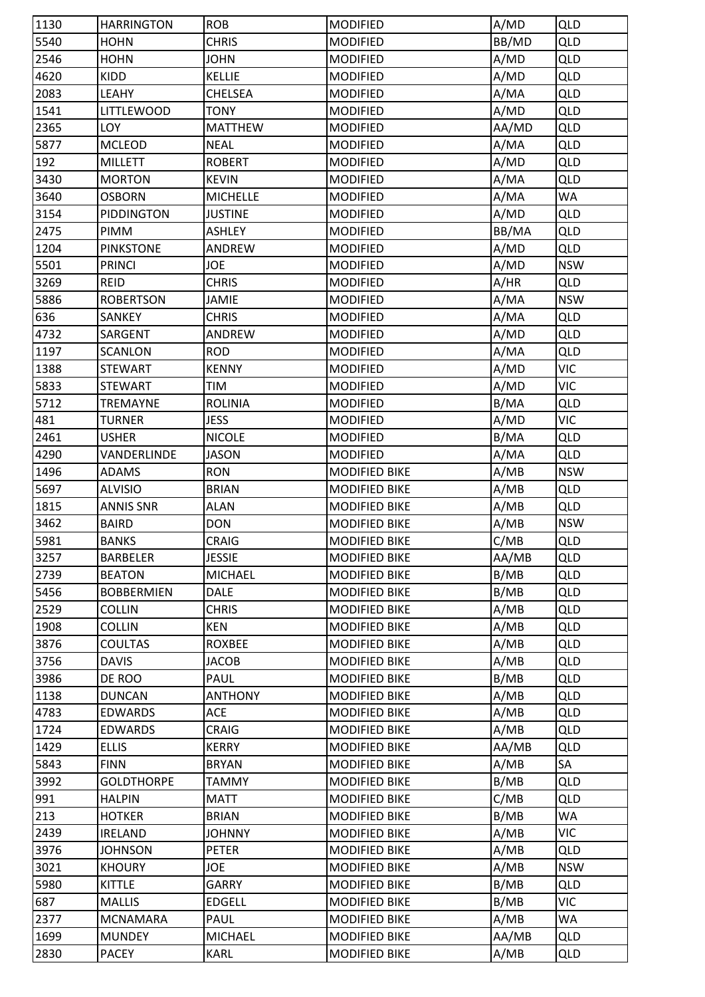| 1130         | <b>HARRINGTON</b>                | <b>ROB</b>          | <b>MODIFIED</b>                              | A/MD         | <b>QLD</b>               |
|--------------|----------------------------------|---------------------|----------------------------------------------|--------------|--------------------------|
| 5540         | <b>HOHN</b>                      | <b>CHRIS</b>        | <b>MODIFIED</b>                              | BB/MD        | <b>QLD</b>               |
| 2546         | <b>HOHN</b>                      | <b>JOHN</b>         | <b>MODIFIED</b>                              | A/MD         | <b>QLD</b>               |
| 4620         | KIDD                             | <b>KELLIE</b>       | <b>MODIFIED</b>                              | A/MD         | <b>QLD</b>               |
| 2083         | LEAHY                            | <b>CHELSEA</b>      | <b>MODIFIED</b>                              | A/MA         | <b>QLD</b>               |
| 1541         | <b>LITTLEWOOD</b>                | TONY                | <b>MODIFIED</b>                              | A/MD         | <b>QLD</b>               |
| 2365         | LOY                              | <b>MATTHEW</b>      | <b>MODIFIED</b>                              | AA/MD        | <b>QLD</b>               |
| 5877         | <b>MCLEOD</b>                    | <b>NEAL</b>         | <b>MODIFIED</b>                              | A/MA         | QLD                      |
| 192          | <b>MILLETT</b>                   | <b>ROBERT</b>       | <b>MODIFIED</b>                              | A/MD         | <b>QLD</b>               |
| 3430         | <b>MORTON</b>                    | <b>KEVIN</b>        | <b>MODIFIED</b>                              | A/MA         | <b>QLD</b>               |
| 3640         | <b>OSBORN</b>                    | <b>MICHELLE</b>     | <b>MODIFIED</b>                              | A/MA         | WA                       |
| 3154         | <b>PIDDINGTON</b>                | <b>JUSTINE</b>      | <b>MODIFIED</b>                              | A/MD         | <b>QLD</b>               |
| 2475         | PIMM                             | <b>ASHLEY</b>       | <b>MODIFIED</b>                              | BB/MA        | <b>QLD</b>               |
| 1204         | <b>PINKSTONE</b>                 | ANDREW              | <b>MODIFIED</b>                              | A/MD         | <b>QLD</b>               |
| 5501         | <b>PRINCI</b>                    | JOE                 | <b>MODIFIED</b>                              | A/MD         | <b>NSW</b>               |
| 3269         | <b>REID</b>                      | <b>CHRIS</b>        | <b>MODIFIED</b>                              | A/HR         | <b>QLD</b>               |
| 5886         | <b>ROBERTSON</b>                 | <b>JAMIE</b>        | <b>MODIFIED</b>                              | A/MA         | <b>NSW</b>               |
| 636          | SANKEY                           | <b>CHRIS</b>        | <b>MODIFIED</b>                              | A/MA         | <b>QLD</b>               |
| 4732         | SARGENT                          | ANDREW              | <b>MODIFIED</b>                              | A/MD         | <b>QLD</b>               |
| 1197         | <b>SCANLON</b>                   | <b>ROD</b>          | <b>MODIFIED</b>                              | A/MA         | <b>QLD</b>               |
| 1388         | <b>STEWART</b>                   | <b>KENNY</b>        | <b>MODIFIED</b>                              | A/MD         | <b>VIC</b>               |
| 5833         | <b>STEWART</b>                   | <b>TIM</b>          | <b>MODIFIED</b>                              | A/MD         | <b>VIC</b>               |
| 5712         | <b>TREMAYNE</b>                  | <b>ROLINIA</b>      | <b>MODIFIED</b>                              | B/MA         | <b>QLD</b>               |
| 481          | <b>TURNER</b>                    | <b>JESS</b>         | <b>MODIFIED</b>                              | A/MD         | <b>VIC</b>               |
| 2461         | <b>USHER</b>                     | <b>NICOLE</b>       | <b>MODIFIED</b>                              | B/MA         | <b>QLD</b>               |
| 4290         | VANDERLINDE                      | <b>JASON</b>        | <b>MODIFIED</b>                              | A/MA         | <b>QLD</b>               |
| 1496         | <b>ADAMS</b>                     | <b>RON</b>          | <b>MODIFIED BIKE</b>                         | A/MB         | <b>NSW</b>               |
| 5697         | <b>ALVISIO</b>                   | <b>BRIAN</b>        | <b>MODIFIED BIKE</b>                         | A/MB         | <b>QLD</b>               |
| 1815         | <b>ANNIS SNR</b>                 | <b>ALAN</b>         | <b>MODIFIED BIKE</b>                         | A/MB         | <b>QLD</b>               |
| 3462         | <b>BAIRD</b>                     | <b>DON</b>          | <b>MODIFIED BIKE</b>                         | A/MB         | <b>NSW</b>               |
| 5981         | <b>BANKS</b>                     | <b>CRAIG</b>        | <b>MODIFIED BIKE</b>                         | C/MB         | <b>QLD</b>               |
| 3257         | <b>BARBELER</b>                  | <b>JESSIE</b>       | <b>MODIFIED BIKE</b>                         | AA/MB        | <b>QLD</b>               |
| 2739         | <b>BEATON</b>                    | <b>MICHAEL</b>      | MODIFIED BIKE                                | B/MB         | <b>QLD</b>               |
| 5456         | <b>BOBBERMIEN</b>                | <b>DALE</b>         | <b>MODIFIED BIKE</b>                         | B/MB         | QLD                      |
| 2529         | <b>COLLIN</b>                    | <b>CHRIS</b>        | <b>MODIFIED BIKE</b>                         | A/MB         | <b>QLD</b>               |
| 1908         | <b>COLLIN</b>                    | <b>KEN</b>          | <b>MODIFIED BIKE</b>                         | A/MB         | <b>QLD</b>               |
| 3876         | <b>COULTAS</b>                   | <b>ROXBEE</b>       | <b>MODIFIED BIKE</b>                         | A/MB         | <b>QLD</b>               |
| 3756         | <b>DAVIS</b>                     | <b>JACOB</b>        | <b>MODIFIED BIKE</b>                         | A/MB         | <b>QLD</b>               |
| 3986         | DE ROO                           | PAUL                | <b>MODIFIED BIKE</b>                         | B/MB         | <b>QLD</b>               |
| 1138         | <b>DUNCAN</b>                    | <b>ANTHONY</b>      | <b>MODIFIED BIKE</b>                         | A/MB         | <b>QLD</b>               |
|              |                                  |                     |                                              |              |                          |
| 4783<br>1724 | <b>EDWARDS</b><br><b>EDWARDS</b> | ACE<br><b>CRAIG</b> | <b>MODIFIED BIKE</b><br><b>MODIFIED BIKE</b> | A/MB<br>A/MB | <b>QLD</b><br><b>QLD</b> |
|              |                                  |                     |                                              |              |                          |
| 1429         | <b>ELLIS</b>                     | <b>KERRY</b>        | <b>MODIFIED BIKE</b>                         | AA/MB        | <b>QLD</b>               |
| 5843         | <b>FINN</b>                      | <b>BRYAN</b>        | <b>MODIFIED BIKE</b>                         | A/MB         | SA                       |
| 3992         | <b>GOLDTHORPE</b>                | <b>TAMMY</b>        | <b>MODIFIED BIKE</b>                         | B/MB         | <b>QLD</b>               |
| 991          | <b>HALPIN</b>                    | <b>MATT</b>         | <b>MODIFIED BIKE</b>                         | C/MB         | QLD                      |
| 213          | <b>HOTKER</b>                    | <b>BRIAN</b>        | <b>MODIFIED BIKE</b>                         | B/MB         | WA                       |
| 2439         | <b>IRELAND</b>                   | <b>JOHNNY</b>       | <b>MODIFIED BIKE</b>                         | A/MB         | <b>VIC</b>               |
| 3976         | <b>JOHNSON</b>                   | <b>PETER</b>        | <b>MODIFIED BIKE</b>                         | A/MB         | <b>QLD</b>               |
| 3021         | <b>KHOURY</b>                    | JOE                 | <b>MODIFIED BIKE</b>                         | A/MB         | <b>NSW</b>               |
| 5980         | KITTLE                           | <b>GARRY</b>        | <b>MODIFIED BIKE</b>                         | B/MB         | <b>QLD</b>               |
| 687          | <b>MALLIS</b>                    | <b>EDGELL</b>       | MODIFIED BIKE                                | B/MB         | <b>VIC</b>               |
| 2377         | <b>MCNAMARA</b>                  | <b>PAUL</b>         | <b>MODIFIED BIKE</b>                         | A/MB         | WA                       |
| 1699         | <b>MUNDEY</b>                    | <b>MICHAEL</b>      | <b>MODIFIED BIKE</b>                         | AA/MB        | <b>QLD</b>               |
| 2830         | <b>PACEY</b>                     | <b>KARL</b>         | <b>MODIFIED BIKE</b>                         | A/MB         | <b>QLD</b>               |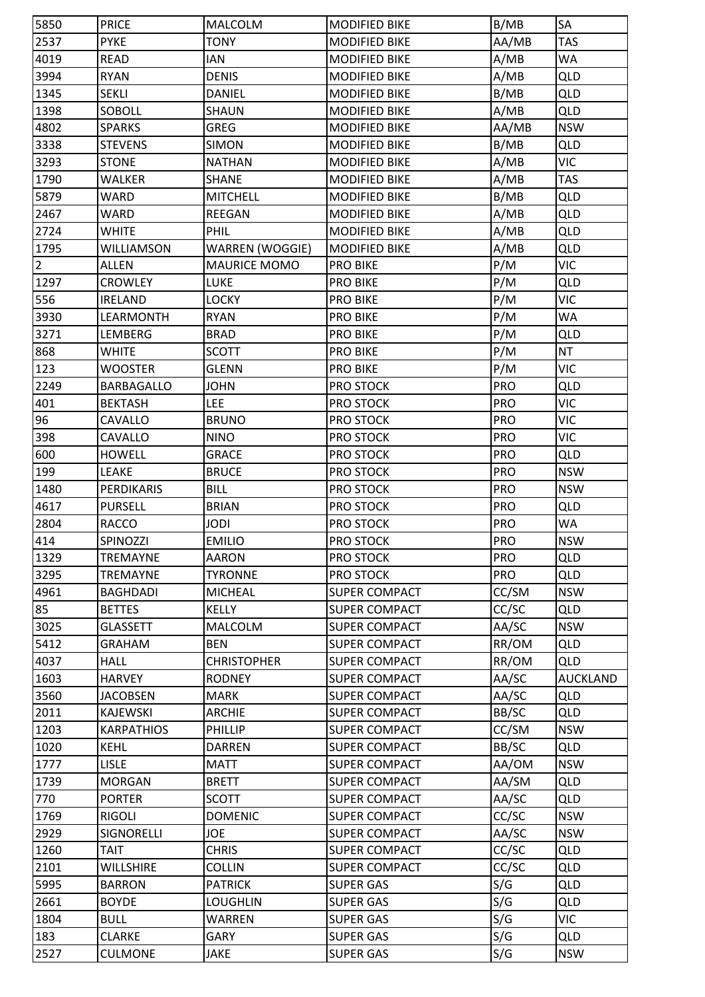| 5850           | <b>PRICE</b>                     | <b>MALCOLM</b>      | <b>MODIFIED BIKE</b>                         | B/MB       | SA                       |
|----------------|----------------------------------|---------------------|----------------------------------------------|------------|--------------------------|
| 2537           | <b>PYKE</b>                      | <b>TONY</b>         | MODIFIED BIKE                                | AA/MB      | <b>TAS</b>               |
| 4019           | <b>READ</b>                      | IAN                 | <b>MODIFIED BIKE</b>                         | A/MB       | WA                       |
| 3994           | <b>RYAN</b>                      | <b>DENIS</b>        | <b>MODIFIED BIKE</b>                         | A/MB       | <b>QLD</b>               |
| 1345           | <b>SEKLI</b>                     | <b>DANIEL</b>       | <b>MODIFIED BIKE</b>                         | B/MB       | <b>QLD</b>               |
| 1398           | SOBOLL                           | SHAUN               | <b>MODIFIED BIKE</b>                         | A/MB       | <b>QLD</b>               |
| 4802           | <b>SPARKS</b>                    | <b>GREG</b>         | <b>MODIFIED BIKE</b>                         | AA/MB      | <b>NSW</b>               |
| 3338           | <b>STEVENS</b>                   | <b>SIMON</b>        | <b>MODIFIED BIKE</b>                         | B/MB       | <b>QLD</b>               |
| 3293           | <b>STONE</b>                     | <b>NATHAN</b>       | <b>MODIFIED BIKE</b>                         | A/MB       | <b>VIC</b>               |
| 1790           | <b>WALKER</b>                    | <b>SHANE</b>        | <b>MODIFIED BIKE</b>                         | A/MB       | <b>TAS</b>               |
| 5879           | <b>WARD</b>                      | <b>MITCHELL</b>     | <b>MODIFIED BIKE</b>                         | B/MB       | <b>QLD</b>               |
| 2467           | <b>WARD</b>                      | <b>REEGAN</b>       | <b>MODIFIED BIKE</b>                         | A/MB       | <b>QLD</b>               |
| 2724           | <b>WHITE</b>                     | PHIL                | <b>MODIFIED BIKE</b>                         | A/MB       | <b>QLD</b>               |
| 1795           | <b>WILLIAMSON</b>                | WARREN (WOGGIE)     | <b>MODIFIED BIKE</b>                         | A/MB       | <b>QLD</b>               |
| $\overline{2}$ | <b>ALLEN</b>                     | <b>MAURICE MOMO</b> | <b>PRO BIKE</b>                              | P/M        | <b>VIC</b>               |
| 1297           | <b>CROWLEY</b>                   | <b>LUKE</b>         | PRO BIKE                                     | P/M        | <b>QLD</b>               |
| 556            | <b>IRELAND</b>                   | <b>LOCKY</b>        | <b>PRO BIKE</b>                              | P/M        | <b>VIC</b>               |
| 3930           | LEARMONTH                        | <b>RYAN</b>         | <b>PRO BIKE</b>                              | P/M        | WA                       |
| 3271           | <b>LEMBERG</b>                   | <b>BRAD</b>         | <b>PRO BIKE</b>                              | P/M        | <b>QLD</b>               |
| 868            | <b>WHITE</b>                     | <b>SCOTT</b>        | <b>PRO BIKE</b>                              | P/M        | <b>NT</b>                |
| 123            | <b>WOOSTER</b>                   | <b>GLENN</b>        | <b>PRO BIKE</b>                              | P/M        | <b>VIC</b>               |
| 2249           | <b>BARBAGALLO</b>                | <b>JOHN</b>         | <b>PRO STOCK</b>                             | <b>PRO</b> | <b>QLD</b>               |
| 401            | <b>BEKTASH</b>                   | <b>LEE</b>          | PRO STOCK                                    | <b>PRO</b> | <b>VIC</b>               |
| 96             | <b>CAVALLO</b>                   | <b>BRUNO</b>        | PRO STOCK                                    | PRO        | <b>VIC</b>               |
| 398            | CAVALLO                          | <b>NINO</b>         | PRO STOCK                                    | <b>PRO</b> | <b>VIC</b>               |
| 600            | <b>HOWELL</b>                    | <b>GRACE</b>        | PRO STOCK                                    | <b>PRO</b> | QLD                      |
| 199            | <b>LEAKE</b>                     | <b>BRUCE</b>        | PRO STOCK                                    | <b>PRO</b> | <b>NSW</b>               |
|                | <b>PERDIKARIS</b>                | <b>BILL</b>         | PRO STOCK                                    | <b>PRO</b> | <b>NSW</b>               |
| 1480<br>4617   | <b>PURSELL</b>                   | <b>BRIAN</b>        | PRO STOCK                                    | <b>PRO</b> | <b>QLD</b>               |
| 2804           |                                  | <b>JODI</b>         |                                              | <b>PRO</b> | WA                       |
| 414            | <b>RACCO</b><br>SPINOZZI         | <b>EMILIO</b>       | PRO STOCK<br><b>PRO STOCK</b>                | <b>PRO</b> | <b>NSW</b>               |
| 1329           | <b>TREMAYNE</b>                  | AARON               |                                              | <b>PRO</b> |                          |
| 3295           |                                  | <b>TYRONNE</b>      | PRO STOCK                                    | <b>PRO</b> | <b>QLD</b><br><b>QLD</b> |
|                | <b>TREMAYNE</b>                  | <b>MICHEAL</b>      | PRO STOCK                                    |            |                          |
| 4961<br>85     | <b>BAGHDADI</b>                  | <b>KELLY</b>        | <b>SUPER COMPACT</b><br><b>SUPER COMPACT</b> | CC/SM      | <b>NSW</b>               |
|                | <b>BETTES</b><br><b>GLASSETT</b> |                     |                                              | CC/SC      | <b>QLD</b><br><b>NSW</b> |
| 3025           |                                  | <b>MALCOLM</b>      | <b>SUPER COMPACT</b>                         | AA/SC      |                          |
| 5412           | <b>GRAHAM</b>                    | <b>BEN</b>          | <b>SUPER COMPACT</b>                         | RR/OM      | <b>QLD</b>               |
| 4037           | <b>HALL</b>                      | <b>CHRISTOPHER</b>  | <b>SUPER COMPACT</b>                         | RR/OM      | QLD                      |
| 1603           | <b>HARVEY</b>                    | <b>RODNEY</b>       | <b>SUPER COMPACT</b>                         | AA/SC      | <b>AUCKLAND</b>          |
| 3560           | <b>JACOBSEN</b>                  | <b>MARK</b>         | <b>SUPER COMPACT</b>                         | AA/SC      | <b>QLD</b>               |
| 2011           | <b>KAJEWSKI</b>                  | ARCHIE              | <b>SUPER COMPACT</b>                         | BB/SC      | <b>QLD</b>               |
| 1203           | <b>KARPATHIOS</b>                | PHILLIP             | <b>SUPER COMPACT</b>                         | CC/SM      | <b>NSW</b>               |
| 1020           | <b>KEHL</b>                      | <b>DARREN</b>       | <b>SUPER COMPACT</b>                         | BB/SC      | <b>QLD</b>               |
| 1777           | <b>LISLE</b>                     | <b>MATT</b>         | <b>SUPER COMPACT</b>                         | AA/OM      | <b>NSW</b>               |
| 1739           | <b>MORGAN</b>                    | <b>BRETT</b>        | <b>SUPER COMPACT</b>                         | AA/SM      | <b>QLD</b>               |
| 770            | <b>PORTER</b>                    | <b>SCOTT</b>        | <b>SUPER COMPACT</b>                         | AA/SC      | QLD                      |
| 1769           | <b>RIGOLI</b>                    | <b>DOMENIC</b>      | <b>SUPER COMPACT</b>                         | CC/SC      | <b>NSW</b>               |
| 2929           | SIGNORELLI                       | JOE                 | <b>SUPER COMPACT</b>                         | AA/SC      | <b>NSW</b>               |
| 1260           | <b>TAIT</b>                      | <b>CHRIS</b>        | <b>SUPER COMPACT</b>                         | CC/SC      | <b>QLD</b>               |
| 2101           | <b>WILLSHIRE</b>                 | <b>COLLIN</b>       | <b>SUPER COMPACT</b>                         | CC/SC      | <b>QLD</b>               |
| 5995           | <b>BARRON</b>                    | <b>PATRICK</b>      | <b>SUPER GAS</b>                             | S/G        | <b>QLD</b>               |
| 2661           | <b>BOYDE</b>                     | <b>LOUGHLIN</b>     | <b>SUPER GAS</b>                             | S/G        | <b>QLD</b>               |
| 1804           | <b>BULL</b>                      | WARREN              | <b>SUPER GAS</b>                             | S/G        | <b>VIC</b>               |
| 183            | <b>CLARKE</b>                    | <b>GARY</b>         | <b>SUPER GAS</b>                             | S/G        | <b>QLD</b>               |
| 2527           | <b>CULMONE</b>                   | JAKE                | <b>SUPER GAS</b>                             | S/G        | <b>NSW</b>               |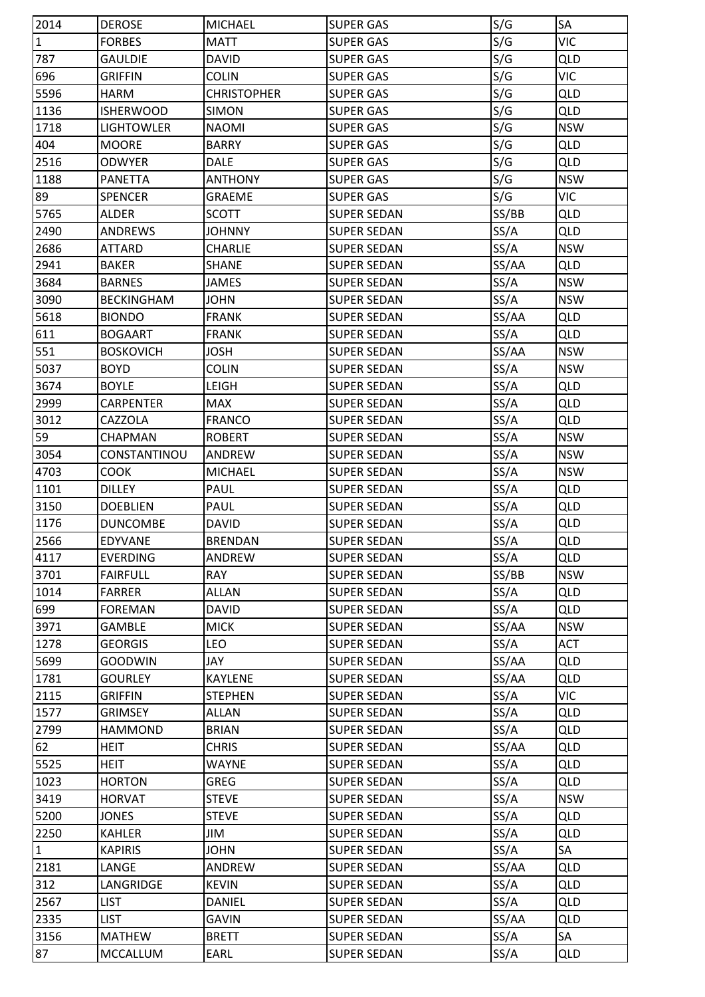| 2014         | <b>DEROSE</b>     | <b>MICHAEL</b>     | <b>SUPER GAS</b>   | S/G          | SA         |
|--------------|-------------------|--------------------|--------------------|--------------|------------|
| $\mathbf{1}$ | <b>FORBES</b>     | <b>MATT</b>        | <b>SUPER GAS</b>   | S/G          | <b>VIC</b> |
| 787          | <b>GAULDIE</b>    | <b>DAVID</b>       | <b>SUPER GAS</b>   | S/G          | <b>QLD</b> |
| 696          | <b>GRIFFIN</b>    | <b>COLIN</b>       | <b>SUPER GAS</b>   | S/G          | <b>VIC</b> |
| 5596         | <b>HARM</b>       | <b>CHRISTOPHER</b> | <b>SUPER GAS</b>   | S/G          | <b>QLD</b> |
| 1136         | <b>ISHERWOOD</b>  | <b>SIMON</b>       | <b>SUPER GAS</b>   | S/G          | <b>QLD</b> |
| 1718         | <b>LIGHTOWLER</b> | <b>NAOMI</b>       | <b>SUPER GAS</b>   | S/G          | <b>NSW</b> |
| 404          | <b>MOORE</b>      | <b>BARRY</b>       | <b>SUPER GAS</b>   | S/G          | <b>QLD</b> |
| 2516         | <b>ODWYER</b>     | <b>DALE</b>        | <b>SUPER GAS</b>   | S/G          | <b>QLD</b> |
| 1188         | PANETTA           | <b>ANTHONY</b>     | <b>SUPER GAS</b>   | S/G          | <b>NSW</b> |
| 89           | <b>SPENCER</b>    | <b>GRAEME</b>      | <b>SUPER GAS</b>   | S/G          | VIC        |
| 5765         | <b>ALDER</b>      | <b>SCOTT</b>       | <b>SUPER SEDAN</b> | SS/BB        | <b>QLD</b> |
| 2490         | <b>ANDREWS</b>    | <b>JOHNNY</b>      | <b>SUPER SEDAN</b> | SS/A         | <b>QLD</b> |
| 2686         | <b>ATTARD</b>     | CHARLIE            | <b>SUPER SEDAN</b> | SS/A         | <b>NSW</b> |
| 2941         | <b>BAKER</b>      | <b>SHANE</b>       | <b>SUPER SEDAN</b> | SS/AA        | <b>QLD</b> |
| 3684         | <b>BARNES</b>     | <b>JAMES</b>       | <b>SUPER SEDAN</b> | SS/A         | <b>NSW</b> |
| 3090         | <b>BECKINGHAM</b> | <b>JOHN</b>        | <b>SUPER SEDAN</b> | SS/A         | <b>NSW</b> |
| 5618         | <b>BIONDO</b>     | <b>FRANK</b>       | <b>SUPER SEDAN</b> | SS/AA        | <b>QLD</b> |
| 611          | <b>BOGAART</b>    | <b>FRANK</b>       | <b>SUPER SEDAN</b> | SS/A         | <b>QLD</b> |
| 551          | <b>BOSKOVICH</b>  | <b>JOSH</b>        | <b>SUPER SEDAN</b> | SS/AA        | <b>NSW</b> |
| 5037         | <b>BOYD</b>       | <b>COLIN</b>       | <b>SUPER SEDAN</b> | SS/A         | <b>NSW</b> |
| 3674         | <b>BOYLE</b>      | LEIGH              | <b>SUPER SEDAN</b> | SS/A         | <b>QLD</b> |
| 2999         | <b>CARPENTER</b>  | <b>MAX</b>         | <b>SUPER SEDAN</b> | SS/A         | <b>QLD</b> |
| 3012         | <b>CAZZOLA</b>    | <b>FRANCO</b>      | <b>SUPER SEDAN</b> | SS/A         | <b>QLD</b> |
| 59           | <b>CHAPMAN</b>    | <b>ROBERT</b>      | <b>SUPER SEDAN</b> | SS/A         | <b>NSW</b> |
| 3054         | CONSTANTINOU      | <b>ANDREW</b>      | <b>SUPER SEDAN</b> | SS/A         | <b>NSW</b> |
| 4703         | <b>COOK</b>       | <b>MICHAEL</b>     | <b>SUPER SEDAN</b> | SS/A         | <b>NSW</b> |
| 1101         | <b>DILLEY</b>     | PAUL               | <b>SUPER SEDAN</b> | SS/A         | QLD        |
| 3150         | <b>DOEBLIEN</b>   | PAUL               | <b>SUPER SEDAN</b> | SS/A         | <b>QLD</b> |
| 1176         | <b>DUNCOMBE</b>   | <b>DAVID</b>       | <b>SUPER SEDAN</b> | SS/A         | <b>QLD</b> |
| 2566         | <b>EDYVANE</b>    | <b>BRENDAN</b>     | <b>SUPER SEDAN</b> | SS/A         | <b>QLD</b> |
| 4117         | <b>EVERDING</b>   | ANDREW             | <b>SUPER SEDAN</b> | SS/A         | <b>QLD</b> |
| 3701         | <b>FAIRFULL</b>   | <b>RAY</b>         | <b>SUPER SEDAN</b> | SS/BB        | <b>NSW</b> |
| 1014         | <b>FARRER</b>     | <b>ALLAN</b>       | <b>SUPER SEDAN</b> |              | <b>QLD</b> |
| 699          | <b>FOREMAN</b>    | <b>DAVID</b>       | <b>SUPER SEDAN</b> | SS/A<br>SS/A | <b>QLD</b> |
| 3971         | <b>GAMBLE</b>     | <b>MICK</b>        | <b>SUPER SEDAN</b> | SS/AA        | <b>NSW</b> |
|              |                   |                    | <b>SUPER SEDAN</b> |              | <b>ACT</b> |
| 1278         | <b>GEORGIS</b>    | LEO                |                    | SS/A         |            |
| 5699         | <b>GOODWIN</b>    | JAY                | <b>SUPER SEDAN</b> | SS/AA        | <b>QLD</b> |
| 1781         | <b>GOURLEY</b>    | <b>KAYLENE</b>     | <b>SUPER SEDAN</b> | SS/AA        | <b>QLD</b> |
| 2115         | <b>GRIFFIN</b>    | <b>STEPHEN</b>     | <b>SUPER SEDAN</b> | SS/A         | <b>VIC</b> |
| 1577         | <b>GRIMSEY</b>    | <b>ALLAN</b>       | <b>SUPER SEDAN</b> | SS/A         | <b>QLD</b> |
| 2799         | <b>HAMMOND</b>    | <b>BRIAN</b>       | <b>SUPER SEDAN</b> | SS/A         | <b>QLD</b> |
| 62           | <b>HEIT</b>       | <b>CHRIS</b>       | <b>SUPER SEDAN</b> | SS/AA        | <b>QLD</b> |
| 5525         | HEIT              | WAYNE              | <b>SUPER SEDAN</b> | SS/A         | <b>QLD</b> |
| 1023         | <b>HORTON</b>     | <b>GREG</b>        | <b>SUPER SEDAN</b> | SS/A         | <b>QLD</b> |
| 3419         | <b>HORVAT</b>     | <b>STEVE</b>       | <b>SUPER SEDAN</b> | SS/A         | <b>NSW</b> |
| 5200         | <b>JONES</b>      | <b>STEVE</b>       | <b>SUPER SEDAN</b> | SS/A         | <b>QLD</b> |
| 2250         | <b>KAHLER</b>     | JIM                | <b>SUPER SEDAN</b> | SS/A         | QLD        |
| $\mathbf{1}$ | <b>KAPIRIS</b>    | <b>JOHN</b>        | <b>SUPER SEDAN</b> | SS/A         | SA         |
| 2181         | LANGE             | ANDREW             | <b>SUPER SEDAN</b> | SS/AA        | <b>QLD</b> |
| 312          | LANGRIDGE         | <b>KEVIN</b>       | <b>SUPER SEDAN</b> | SS/A         | <b>QLD</b> |
| 2567         | <b>LIST</b>       | <b>DANIEL</b>      | <b>SUPER SEDAN</b> | SS/A         | <b>QLD</b> |
| 2335         | <b>LIST</b>       | GAVIN              | <b>SUPER SEDAN</b> | SS/AA        | <b>QLD</b> |
| 3156         | <b>MATHEW</b>     | <b>BRETT</b>       | <b>SUPER SEDAN</b> | SS/A         | SA         |
| 87           | <b>MCCALLUM</b>   | EARL               | <b>SUPER SEDAN</b> | SS/A         | QLD        |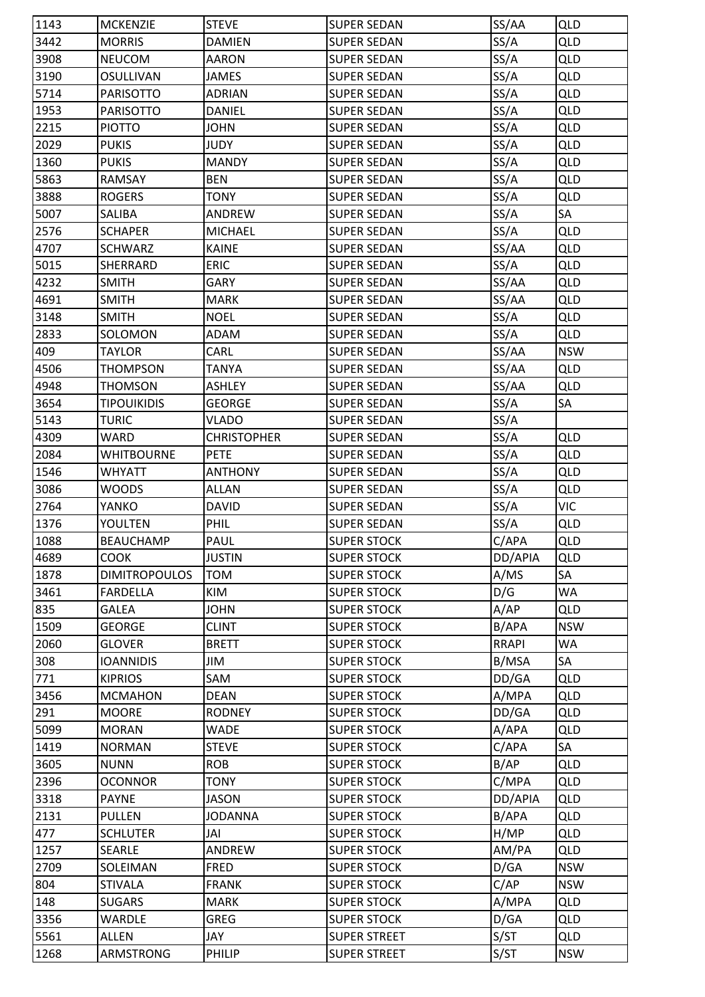| 1143 | <b>MCKENZIE</b>      | <b>STEVE</b>       | <b>SUPER SEDAN</b>  | SS/AA        | QLD        |
|------|----------------------|--------------------|---------------------|--------------|------------|
| 3442 | <b>MORRIS</b>        | <b>DAMIEN</b>      | <b>SUPER SEDAN</b>  | SS/A         | <b>QLD</b> |
| 3908 | <b>NEUCOM</b>        | AARON              | <b>SUPER SEDAN</b>  | SS/A         | <b>QLD</b> |
| 3190 | <b>OSULLIVAN</b>     | JAMES              | <b>SUPER SEDAN</b>  | SS/A         | <b>QLD</b> |
| 5714 | <b>PARISOTTO</b>     | <b>ADRIAN</b>      | <b>SUPER SEDAN</b>  | SS/A         | <b>QLD</b> |
| 1953 | <b>PARISOTTO</b>     | DANIEL             | <b>SUPER SEDAN</b>  | SS/A         | <b>QLD</b> |
| 2215 | <b>PIOTTO</b>        | <b>JOHN</b>        | <b>SUPER SEDAN</b>  | SS/A         | <b>QLD</b> |
| 2029 | <b>PUKIS</b>         | JUDY               | <b>SUPER SEDAN</b>  | SS/A         | <b>QLD</b> |
| 1360 | <b>PUKIS</b>         | <b>MANDY</b>       | <b>SUPER SEDAN</b>  | SS/A         | <b>QLD</b> |
| 5863 | RAMSAY               | <b>BEN</b>         | <b>SUPER SEDAN</b>  | SS/A         | <b>QLD</b> |
| 3888 | <b>ROGERS</b>        | <b>TONY</b>        | <b>SUPER SEDAN</b>  | SS/A         | <b>QLD</b> |
| 5007 | SALIBA               | ANDREW             | <b>SUPER SEDAN</b>  | SS/A         | SA         |
| 2576 | <b>SCHAPER</b>       | <b>MICHAEL</b>     | <b>SUPER SEDAN</b>  | SS/A         | <b>QLD</b> |
| 4707 | <b>SCHWARZ</b>       | <b>KAINE</b>       | <b>SUPER SEDAN</b>  | SS/AA        | <b>QLD</b> |
| 5015 | SHERRARD             | <b>ERIC</b>        | <b>SUPER SEDAN</b>  | SS/A         | <b>QLD</b> |
| 4232 | <b>SMITH</b>         | GARY               | <b>SUPER SEDAN</b>  | SS/AA        | <b>QLD</b> |
| 4691 | <b>SMITH</b>         | <b>MARK</b>        | <b>SUPER SEDAN</b>  | SS/AA        | <b>QLD</b> |
| 3148 | <b>SMITH</b>         | <b>NOEL</b>        | <b>SUPER SEDAN</b>  | SS/A         | <b>QLD</b> |
| 2833 | SOLOMON              | <b>ADAM</b>        | <b>SUPER SEDAN</b>  | SS/A         | <b>QLD</b> |
| 409  | <b>TAYLOR</b>        | CARL               | <b>SUPER SEDAN</b>  | SS/AA        | <b>NSW</b> |
| 4506 | <b>THOMPSON</b>      | TANYA              | <b>SUPER SEDAN</b>  | SS/AA        | QLD        |
| 4948 | <b>THOMSON</b>       | <b>ASHLEY</b>      | <b>SUPER SEDAN</b>  | SS/AA        | QLD        |
| 3654 | <b>TIPOUIKIDIS</b>   | <b>GEORGE</b>      | <b>SUPER SEDAN</b>  | SS/A         | SA         |
| 5143 | <b>TURIC</b>         | VLADO              | <b>SUPER SEDAN</b>  | SS/A         |            |
| 4309 | WARD                 | <b>CHRISTOPHER</b> | <b>SUPER SEDAN</b>  | SS/A         | <b>QLD</b> |
| 2084 | <b>WHITBOURNE</b>    | <b>PETE</b>        | <b>SUPER SEDAN</b>  | SS/A         | <b>QLD</b> |
| 1546 | <b>WHYATT</b>        | <b>ANTHONY</b>     | <b>SUPER SEDAN</b>  | SS/A         | <b>QLD</b> |
| 3086 | <b>WOODS</b>         | <b>ALLAN</b>       | <b>SUPER SEDAN</b>  | SS/A         | <b>QLD</b> |
| 2764 | YANKO                | <b>DAVID</b>       | <b>SUPER SEDAN</b>  | SS/A         | <b>VIC</b> |
| 1376 | YOULTEN              | <b>PHIL</b>        | <b>SUPER SEDAN</b>  | SS/A         | <b>QLD</b> |
| 1088 | <b>BEAUCHAMP</b>     | <b>PAUL</b>        | <b>SUPER STOCK</b>  | C/APA        | <b>QLD</b> |
| 4689 | <b>COOK</b>          | <b>JUSTIN</b>      | <b>SUPER STOCK</b>  | DD/APIA      | <b>QLD</b> |
| 1878 | <b>DIMITROPOULOS</b> | <b>TOM</b>         | <b>SUPER STOCK</b>  | A/MS         | SA         |
| 3461 | <b>FARDELLA</b>      | KIM                | <b>SUPER STOCK</b>  | D/G          | <b>WA</b>  |
| 835  | <b>GALEA</b>         | <b>JOHN</b>        | <b>SUPER STOCK</b>  | A/AP         | <b>QLD</b> |
| 1509 | <b>GEORGE</b>        | <b>CLINT</b>       | <b>SUPER STOCK</b>  | B/APA        | <b>NSW</b> |
| 2060 | <b>GLOVER</b>        | <b>BRETT</b>       | <b>SUPER STOCK</b>  | <b>RRAPI</b> | WA         |
| 308  | <b>IOANNIDIS</b>     | JIM                | <b>SUPER STOCK</b>  | B/MSA        | SA         |
| 771  | <b>KIPRIOS</b>       | SAM                | <b>SUPER STOCK</b>  | DD/GA        | <b>QLD</b> |
| 3456 | <b>MCMAHON</b>       | <b>DEAN</b>        | <b>SUPER STOCK</b>  | A/MPA        | <b>QLD</b> |
| 291  | <b>MOORE</b>         | <b>RODNEY</b>      | <b>SUPER STOCK</b>  | DD/GA        | <b>QLD</b> |
| 5099 | <b>MORAN</b>         | WADE               | <b>SUPER STOCK</b>  | A/APA        | <b>QLD</b> |
| 1419 | <b>NORMAN</b>        | <b>STEVE</b>       | <b>SUPER STOCK</b>  | C/APA        | SA         |
| 3605 | <b>NUNN</b>          | <b>ROB</b>         | <b>SUPER STOCK</b>  | B/AP         | <b>QLD</b> |
| 2396 | <b>OCONNOR</b>       | <b>TONY</b>        | <b>SUPER STOCK</b>  | C/MPA        | <b>QLD</b> |
| 3318 | <b>PAYNE</b>         | JASON              | <b>SUPER STOCK</b>  | DD/APIA      | <b>QLD</b> |
| 2131 | <b>PULLEN</b>        | <b>JODANNA</b>     | <b>SUPER STOCK</b>  | B/APA        | <b>QLD</b> |
| 477  | <b>SCHLUTER</b>      | JAI                | <b>SUPER STOCK</b>  | H/MP         | <b>QLD</b> |
| 1257 | <b>SEARLE</b>        | ANDREW             | <b>SUPER STOCK</b>  | AM/PA        | <b>QLD</b> |
| 2709 | SOLEIMAN             | <b>FRED</b>        | <b>SUPER STOCK</b>  | D/GA         | <b>NSW</b> |
| 804  | <b>STIVALA</b>       | <b>FRANK</b>       | <b>SUPER STOCK</b>  | C/AP         | <b>NSW</b> |
| 148  | <b>SUGARS</b>        | <b>MARK</b>        | <b>SUPER STOCK</b>  | A/MPA        | <b>QLD</b> |
| 3356 | WARDLE               | GREG               | <b>SUPER STOCK</b>  | D/GA         | <b>QLD</b> |
| 5561 | <b>ALLEN</b>         | JAY                | <b>SUPER STREET</b> | S/ST         | <b>QLD</b> |
| 1268 | ARMSTRONG            | PHILIP             | <b>SUPER STREET</b> | S/ST         | <b>NSW</b> |
|      |                      |                    |                     |              |            |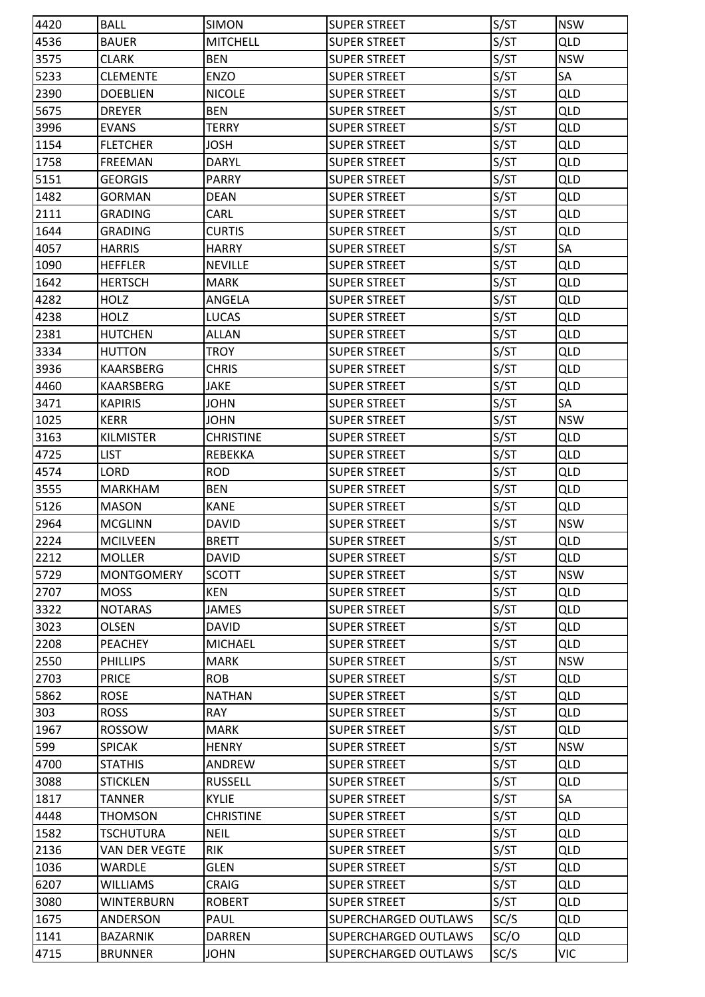| 4420 | <b>BALL</b>       | <b>SIMON</b>     | <b>SUPER STREET</b>  | S/ST | <b>NSW</b> |
|------|-------------------|------------------|----------------------|------|------------|
| 4536 | <b>BAUER</b>      | <b>MITCHELL</b>  | <b>SUPER STREET</b>  | S/ST | <b>QLD</b> |
| 3575 | <b>CLARK</b>      | <b>BEN</b>       | <b>SUPER STREET</b>  | S/ST | <b>NSW</b> |
| 5233 | <b>CLEMENTE</b>   | <b>ENZO</b>      | <b>SUPER STREET</b>  | S/ST | SA         |
| 2390 | <b>DOEBLIEN</b>   | <b>NICOLE</b>    | <b>SUPER STREET</b>  | S/ST | <b>QLD</b> |
| 5675 | <b>DREYER</b>     | <b>BEN</b>       | <b>SUPER STREET</b>  | S/ST | <b>QLD</b> |
| 3996 | <b>EVANS</b>      | <b>TERRY</b>     | <b>SUPER STREET</b>  | S/ST | <b>QLD</b> |
| 1154 | <b>FLETCHER</b>   | <b>JOSH</b>      | <b>SUPER STREET</b>  | S/ST | QLD        |
| 1758 | <b>FREEMAN</b>    | <b>DARYL</b>     | <b>SUPER STREET</b>  | S/ST | <b>QLD</b> |
| 5151 | <b>GEORGIS</b>    | <b>PARRY</b>     | <b>SUPER STREET</b>  | S/ST | <b>QLD</b> |
| 1482 | <b>GORMAN</b>     | <b>DEAN</b>      | <b>SUPER STREET</b>  | S/ST | <b>QLD</b> |
| 2111 | <b>GRADING</b>    | CARL             | <b>SUPER STREET</b>  | S/ST | <b>QLD</b> |
| 1644 | <b>GRADING</b>    | <b>CURTIS</b>    | <b>SUPER STREET</b>  | S/ST | <b>QLD</b> |
| 4057 | <b>HARRIS</b>     | <b>HARRY</b>     | <b>SUPER STREET</b>  | S/ST | SA         |
| 1090 | <b>HEFFLER</b>    | <b>NEVILLE</b>   | <b>SUPER STREET</b>  | S/ST | <b>QLD</b> |
| 1642 | <b>HERTSCH</b>    | <b>MARK</b>      | <b>SUPER STREET</b>  | S/ST | <b>QLD</b> |
| 4282 | <b>HOLZ</b>       | <b>ANGELA</b>    | <b>SUPER STREET</b>  | S/ST | <b>QLD</b> |
| 4238 | <b>HOLZ</b>       | <b>LUCAS</b>     | <b>SUPER STREET</b>  | S/ST | <b>QLD</b> |
| 2381 | <b>HUTCHEN</b>    | <b>ALLAN</b>     | <b>SUPER STREET</b>  | S/ST | <b>QLD</b> |
| 3334 | <b>HUTTON</b>     | TROY             | <b>SUPER STREET</b>  | S/ST | <b>QLD</b> |
| 3936 | KAARSBERG         | <b>CHRIS</b>     | <b>SUPER STREET</b>  | S/ST | <b>QLD</b> |
| 4460 | KAARSBERG         | <b>JAKE</b>      | <b>SUPER STREET</b>  | S/ST | <b>QLD</b> |
| 3471 | <b>KAPIRIS</b>    | <b>JOHN</b>      | <b>SUPER STREET</b>  | S/ST | SA         |
| 1025 | <b>KERR</b>       | <b>JOHN</b>      | <b>SUPER STREET</b>  | S/ST | <b>NSW</b> |
| 3163 | <b>KILMISTER</b>  | <b>CHRISTINE</b> | <b>SUPER STREET</b>  | S/ST | QLD        |
| 4725 | <b>LIST</b>       | <b>REBEKKA</b>   | <b>SUPER STREET</b>  | S/ST | <b>QLD</b> |
| 4574 | LORD              | <b>ROD</b>       | <b>SUPER STREET</b>  | S/ST | QLD        |
| 3555 | <b>MARKHAM</b>    | <b>BEN</b>       | <b>SUPER STREET</b>  | S/ST | <b>QLD</b> |
| 5126 | <b>MASON</b>      | <b>KANE</b>      | <b>SUPER STREET</b>  | S/ST | <b>QLD</b> |
| 2964 | <b>MCGLINN</b>    | <b>DAVID</b>     | <b>SUPER STREET</b>  | S/ST | <b>NSW</b> |
| 2224 | <b>MCILVEEN</b>   | <b>BRETT</b>     | <b>SUPER STREET</b>  | S/ST | <b>QLD</b> |
| 2212 | <b>MOLLER</b>     | <b>DAVID</b>     | <b>SUPER STREET</b>  | S/ST | <b>QLD</b> |
| 5729 | <b>MONTGOMERY</b> | <b>SCOTT</b>     | <b>SUPER STREET</b>  | S/ST | <b>NSW</b> |
| 2707 | <b>MOSS</b>       | KEN              | <b>SUPER STREET</b>  | S/ST | <b>QLD</b> |
| 3322 | <b>NOTARAS</b>    | <b>JAMES</b>     | <b>SUPER STREET</b>  | S/ST | <b>QLD</b> |
| 3023 | <b>OLSEN</b>      | <b>DAVID</b>     | <b>SUPER STREET</b>  | S/ST | <b>QLD</b> |
| 2208 | PEACHEY           | <b>MICHAEL</b>   | <b>SUPER STREET</b>  | S/ST | <b>QLD</b> |
| 2550 | <b>PHILLIPS</b>   | <b>MARK</b>      | <b>SUPER STREET</b>  | S/ST | <b>NSW</b> |
| 2703 | <b>PRICE</b>      | <b>ROB</b>       | <b>SUPER STREET</b>  | S/ST | <b>QLD</b> |
| 5862 | <b>ROSE</b>       | <b>NATHAN</b>    | <b>SUPER STREET</b>  | S/ST | <b>QLD</b> |
| 303  | <b>ROSS</b>       | <b>RAY</b>       | <b>SUPER STREET</b>  | S/ST | <b>QLD</b> |
| 1967 | <b>ROSSOW</b>     | <b>MARK</b>      | <b>SUPER STREET</b>  | S/ST | <b>QLD</b> |
| 599  | <b>SPICAK</b>     | <b>HENRY</b>     | <b>SUPER STREET</b>  | S/ST | <b>NSW</b> |
| 4700 | <b>STATHIS</b>    | ANDREW           | <b>SUPER STREET</b>  | S/ST | <b>QLD</b> |
| 3088 | <b>STICKLEN</b>   | <b>RUSSELL</b>   | <b>SUPER STREET</b>  | S/ST | <b>QLD</b> |
| 1817 | <b>TANNER</b>     | <b>KYLIE</b>     | <b>SUPER STREET</b>  | S/ST | SA         |
| 4448 | <b>THOMSON</b>    | <b>CHRISTINE</b> | <b>SUPER STREET</b>  | S/ST | <b>QLD</b> |
| 1582 | <b>TSCHUTURA</b>  | <b>NEIL</b>      | <b>SUPER STREET</b>  | S/ST | <b>QLD</b> |
| 2136 | VAN DER VEGTE     | <b>RIK</b>       | <b>SUPER STREET</b>  | S/ST | <b>QLD</b> |
| 1036 | <b>WARDLE</b>     | <b>GLEN</b>      | <b>SUPER STREET</b>  | S/ST | <b>QLD</b> |
| 6207 | <b>WILLIAMS</b>   | CRAIG            | <b>SUPER STREET</b>  | S/ST | <b>QLD</b> |
| 3080 | <b>WINTERBURN</b> | <b>ROBERT</b>    | <b>SUPER STREET</b>  | S/ST | <b>QLD</b> |
| 1675 | ANDERSON          | PAUL             | SUPERCHARGED OUTLAWS | SC/S | QLD        |
| 1141 | <b>BAZARNIK</b>   | <b>DARREN</b>    | SUPERCHARGED OUTLAWS | SC/O | <b>QLD</b> |
| 4715 | <b>BRUNNER</b>    | <b>JOHN</b>      | SUPERCHARGED OUTLAWS | SC/S | <b>VIC</b> |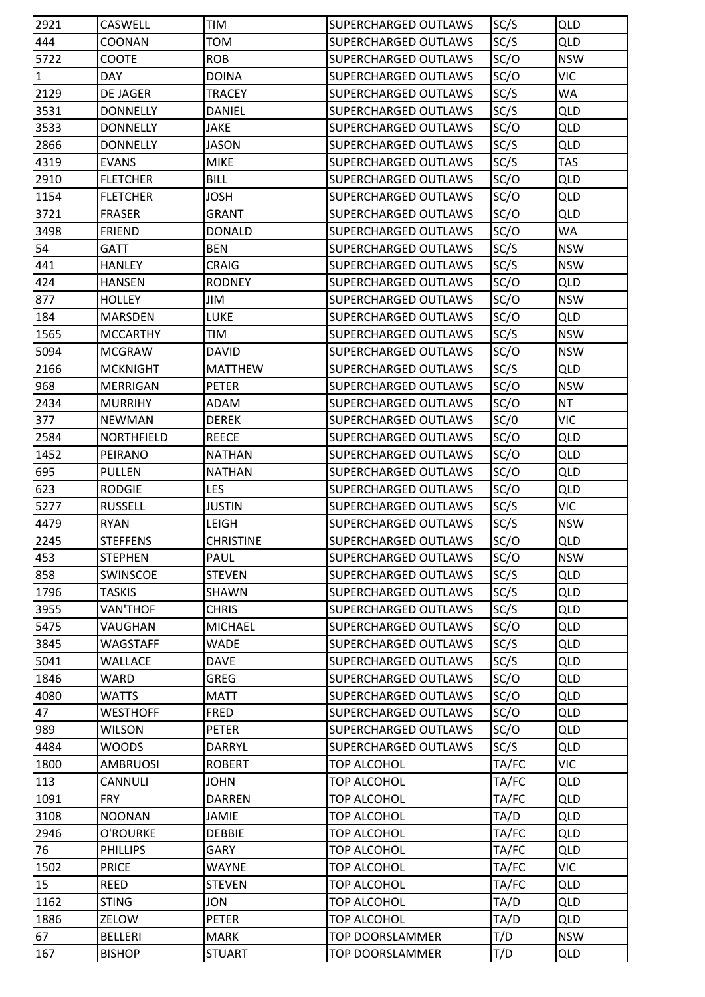| 2921         | <b>CASWELL</b>    | TIM              | SUPERCHARGED OUTLAWS        | SC/S  | QLD        |
|--------------|-------------------|------------------|-----------------------------|-------|------------|
| 444          | COONAN            | <b>TOM</b>       | SUPERCHARGED OUTLAWS        | SC/S  | <b>QLD</b> |
| 5722         | COOTE             | <b>ROB</b>       | SUPERCHARGED OUTLAWS        | SC/O  | <b>NSW</b> |
| $\mathbf{1}$ | <b>DAY</b>        | <b>DOINA</b>     | SUPERCHARGED OUTLAWS        | SC/O  | <b>VIC</b> |
| 2129         | <b>DE JAGER</b>   | <b>TRACEY</b>    | SUPERCHARGED OUTLAWS        | SC/S  | WA         |
| 3531         | <b>DONNELLY</b>   | DANIEL           | SUPERCHARGED OUTLAWS        | SC/S  | <b>QLD</b> |
| 3533         | <b>DONNELLY</b>   | <b>JAKE</b>      | SUPERCHARGED OUTLAWS        | SC/O  | <b>QLD</b> |
| 2866         | <b>DONNELLY</b>   | <b>JASON</b>     | SUPERCHARGED OUTLAWS        | SC/S  | QLD        |
| 4319         | <b>EVANS</b>      | <b>MIKE</b>      | SUPERCHARGED OUTLAWS        | SC/S  | <b>TAS</b> |
| 2910         | <b>FLETCHER</b>   | <b>BILL</b>      | SUPERCHARGED OUTLAWS        | SC/O  | <b>QLD</b> |
| 1154         | <b>FLETCHER</b>   | <b>JOSH</b>      | SUPERCHARGED OUTLAWS        | SC/O  | <b>QLD</b> |
| 3721         | <b>FRASER</b>     | <b>GRANT</b>     | SUPERCHARGED OUTLAWS        | SC/O  | QLD        |
| 3498         | <b>FRIEND</b>     | <b>DONALD</b>    | SUPERCHARGED OUTLAWS        | SC/O  | WA         |
| 54           | <b>GATT</b>       | <b>BEN</b>       | SUPERCHARGED OUTLAWS        | SC/S  | <b>NSW</b> |
| 441          | <b>HANLEY</b>     | <b>CRAIG</b>     | SUPERCHARGED OUTLAWS        | SC/S  | <b>NSW</b> |
| 424          | <b>HANSEN</b>     | <b>RODNEY</b>    | <b>SUPERCHARGED OUTLAWS</b> | SC/O  | <b>QLD</b> |
| 877          | <b>HOLLEY</b>     | JIM              | SUPERCHARGED OUTLAWS        | SC/O  | <b>NSW</b> |
| 184          | <b>MARSDEN</b>    | <b>LUKE</b>      | SUPERCHARGED OUTLAWS        | SC/O  | <b>QLD</b> |
| 1565         | <b>MCCARTHY</b>   | <b>TIM</b>       | SUPERCHARGED OUTLAWS        | SC/S  | <b>NSW</b> |
| 5094         | <b>MCGRAW</b>     | <b>DAVID</b>     | SUPERCHARGED OUTLAWS        | SC/O  | <b>NSW</b> |
| 2166         | <b>MCKNIGHT</b>   | <b>MATTHEW</b>   | SUPERCHARGED OUTLAWS        | SC/S  | <b>QLD</b> |
| 968          | MERRIGAN          | <b>PETER</b>     | SUPERCHARGED OUTLAWS        | SC/O  | <b>NSW</b> |
| 2434         | <b>MURRIHY</b>    | ADAM             | SUPERCHARGED OUTLAWS        | SC/O  | <b>NT</b>  |
| 377          | <b>NEWMAN</b>     | <b>DEREK</b>     | SUPERCHARGED OUTLAWS        | SC/0  | <b>VIC</b> |
| 2584         | <b>NORTHFIELD</b> | <b>REECE</b>     | SUPERCHARGED OUTLAWS        | SC/O  | <b>QLD</b> |
| 1452         | PEIRANO           | <b>NATHAN</b>    | SUPERCHARGED OUTLAWS        | SC/O  | <b>QLD</b> |
| 695          | <b>PULLEN</b>     | <b>NATHAN</b>    | SUPERCHARGED OUTLAWS        | SC/O  | QLD        |
| 623          | <b>RODGIE</b>     | LES              | SUPERCHARGED OUTLAWS        | SC/O  | <b>QLD</b> |
| 5277         | <b>RUSSELL</b>    | <b>JUSTIN</b>    | SUPERCHARGED OUTLAWS        | SC/S  | <b>VIC</b> |
| 4479         | <b>RYAN</b>       | <b>LEIGH</b>     | <b>SUPERCHARGED OUTLAWS</b> | SC/S  | <b>NSW</b> |
| 2245         | <b>STEFFENS</b>   | <b>CHRISTINE</b> | <b>SUPERCHARGED OUTLAWS</b> | SC/O  | <b>QLD</b> |
| 453          | <b>STEPHEN</b>    | PAUL             | SUPERCHARGED OUTLAWS        | SC/O  | <b>NSW</b> |
| 858          | SWINSCOE          | <b>STEVEN</b>    | SUPERCHARGED OUTLAWS        | SC/S  | <b>QLD</b> |
| 1796         | <b>TASKIS</b>     | SHAWN            | SUPERCHARGED OUTLAWS        | SC/S  | <b>QLD</b> |
| 3955         | VAN'THOF          | <b>CHRIS</b>     | SUPERCHARGED OUTLAWS        | SC/S  | <b>QLD</b> |
| 5475         | VAUGHAN           | <b>MICHAEL</b>   | <b>SUPERCHARGED OUTLAWS</b> | SC/O  | <b>QLD</b> |
| 3845         | <b>WAGSTAFF</b>   | WADE             | SUPERCHARGED OUTLAWS        | SC/S  | <b>QLD</b> |
| 5041         | <b>WALLACE</b>    | <b>DAVE</b>      | SUPERCHARGED OUTLAWS        | SC/S  | <b>QLD</b> |
| 1846         | <b>WARD</b>       | <b>GREG</b>      | SUPERCHARGED OUTLAWS        | SC/O  | <b>QLD</b> |
| 4080         | <b>WATTS</b>      | <b>MATT</b>      | SUPERCHARGED OUTLAWS        | SC/O  | <b>QLD</b> |
| 47           | <b>WESTHOFF</b>   | <b>FRED</b>      | SUPERCHARGED OUTLAWS        | SC/O  | <b>QLD</b> |
| 989          | <b>WILSON</b>     | <b>PETER</b>     | <b>SUPERCHARGED OUTLAWS</b> | SC/O  | <b>QLD</b> |
| 4484         | <b>WOODS</b>      | <b>DARRYL</b>    | <b>SUPERCHARGED OUTLAWS</b> | SC/S  | <b>QLD</b> |
| 1800         | <b>AMBRUOSI</b>   | <b>ROBERT</b>    | <b>TOP ALCOHOL</b>          | TA/FC | <b>VIC</b> |
| 113          | <b>CANNULI</b>    | <b>JOHN</b>      | <b>TOP ALCOHOL</b>          | TA/FC | <b>QLD</b> |
| 1091         | <b>FRY</b>        | <b>DARREN</b>    | <b>TOP ALCOHOL</b>          | TA/FC | QLD        |
| 3108         | <b>NOONAN</b>     | JAMIE            | <b>TOP ALCOHOL</b>          | TA/D  | <b>QLD</b> |
| 2946         | O'ROURKE          | <b>DEBBIE</b>    | <b>TOP ALCOHOL</b>          | TA/FC | <b>QLD</b> |
| 76           | <b>PHILLIPS</b>   | GARY             | <b>TOP ALCOHOL</b>          | TA/FC | <b>QLD</b> |
| 1502         | <b>PRICE</b>      | WAYNE            | <b>TOP ALCOHOL</b>          | TA/FC | <b>VIC</b> |
| 15           | <b>REED</b>       | <b>STEVEN</b>    | <b>TOP ALCOHOL</b>          | TA/FC | <b>QLD</b> |
| 1162         | <b>STING</b>      | JON              | <b>TOP ALCOHOL</b>          | TA/D  | <b>QLD</b> |
| 1886         | ZELOW             | <b>PETER</b>     | <b>TOP ALCOHOL</b>          | TA/D  | <b>QLD</b> |
| 67           | <b>BELLERI</b>    | <b>MARK</b>      | <b>TOP DOORSLAMMER</b>      | T/D   | <b>NSW</b> |
| 167          | <b>BISHOP</b>     | <b>STUART</b>    | TOP DOORSLAMMER             | T/D   | QLD        |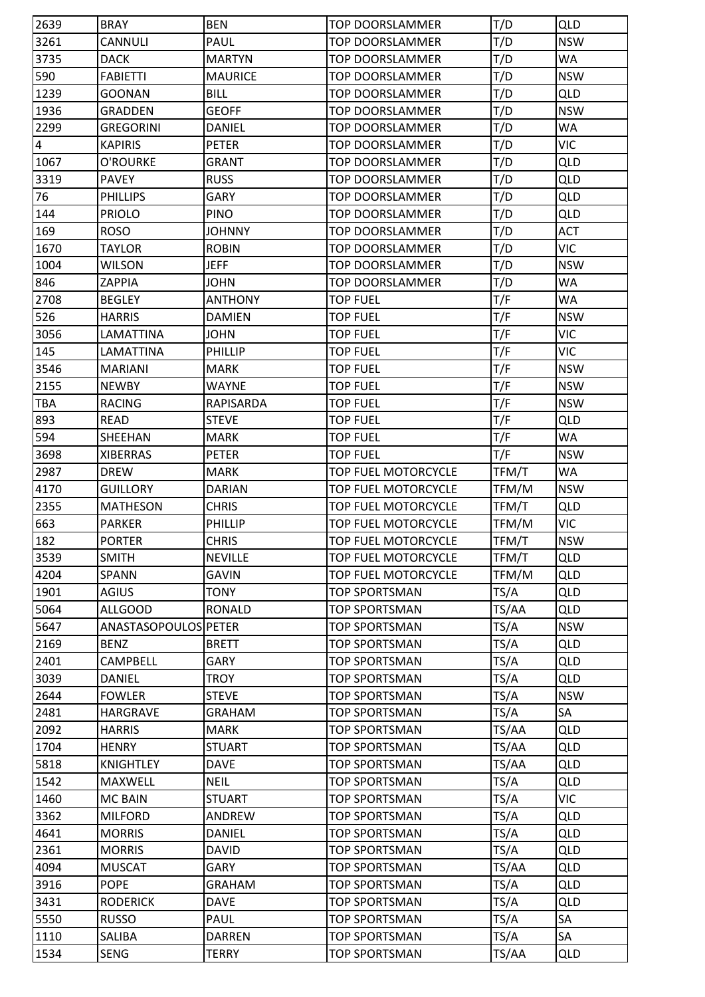| 2639           | <b>BRAY</b>          | <b>BEN</b>     | <b>TOP DOORSLAMMER</b>     | T/D   | QLD        |
|----------------|----------------------|----------------|----------------------------|-------|------------|
| 3261           | <b>CANNULI</b>       | PAUL           | <b>TOP DOORSLAMMER</b>     | T/D   | <b>NSW</b> |
| 3735           | <b>DACK</b>          | <b>MARTYN</b>  | <b>TOP DOORSLAMMER</b>     | T/D   | WA         |
| 590            | <b>FABIETTI</b>      | <b>MAURICE</b> | <b>TOP DOORSLAMMER</b>     | T/D   | <b>NSW</b> |
| 1239           | <b>GOONAN</b>        | <b>BILL</b>    | TOP DOORSLAMMER            | T/D   | <b>QLD</b> |
| 1936           | <b>GRADDEN</b>       | <b>GEOFF</b>   | <b>TOP DOORSLAMMER</b>     | T/D   | <b>NSW</b> |
| 2299           | <b>GREGORINI</b>     | <b>DANIEL</b>  | <b>TOP DOORSLAMMER</b>     | T/D   | <b>WA</b>  |
| $\overline{4}$ | <b>KAPIRIS</b>       | <b>PETER</b>   | <b>TOP DOORSLAMMER</b>     | T/D   | <b>VIC</b> |
| 1067           | O'ROURKE             | <b>GRANT</b>   | <b>TOP DOORSLAMMER</b>     | T/D   | <b>QLD</b> |
| 3319           | <b>PAVEY</b>         | <b>RUSS</b>    | <b>TOP DOORSLAMMER</b>     | T/D   | <b>QLD</b> |
| 76             | <b>PHILLIPS</b>      | <b>GARY</b>    | <b>TOP DOORSLAMMER</b>     | T/D   | <b>QLD</b> |
| 144            | <b>PRIOLO</b>        | PINO           | <b>TOP DOORSLAMMER</b>     | T/D   | <b>QLD</b> |
| 169            | <b>ROSO</b>          | <b>JOHNNY</b>  | <b>TOP DOORSLAMMER</b>     | T/D   | <b>ACT</b> |
| 1670           | <b>TAYLOR</b>        | <b>ROBIN</b>   | <b>TOP DOORSLAMMER</b>     | T/D   | <b>VIC</b> |
| 1004           | <b>WILSON</b>        | <b>JEFF</b>    | <b>TOP DOORSLAMMER</b>     | T/D   | <b>NSW</b> |
| 846            | ZAPPIA               | <b>JOHN</b>    | <b>TOP DOORSLAMMER</b>     | T/D   | WA         |
| 2708           | <b>BEGLEY</b>        | <b>ANTHONY</b> | <b>TOP FUEL</b>            | T/F   | WA         |
| 526            | <b>HARRIS</b>        | <b>DAMIEN</b>  | <b>TOP FUEL</b>            | T/F   | <b>NSW</b> |
| 3056           | LAMATTINA            | <b>JOHN</b>    | <b>TOP FUEL</b>            | T/F   | <b>VIC</b> |
| 145            | LAMATTINA            | PHILLIP        | <b>TOP FUEL</b>            | T/F   | <b>VIC</b> |
| 3546           | <b>MARIANI</b>       | <b>MARK</b>    | <b>TOP FUEL</b>            | T/F   | <b>NSW</b> |
| 2155           | <b>NEWBY</b>         | WAYNE          | <b>TOP FUEL</b>            | T/F   | <b>NSW</b> |
| <b>TBA</b>     | <b>RACING</b>        | RAPISARDA      | <b>TOP FUEL</b>            | T/F   | <b>NSW</b> |
| 893            | <b>READ</b>          | <b>STEVE</b>   | <b>TOP FUEL</b>            | T/F   | <b>QLD</b> |
| 594            | SHEEHAN              | <b>MARK</b>    | <b>TOP FUEL</b>            | T/F   | <b>WA</b>  |
| 3698           | <b>XIBERRAS</b>      | <b>PETER</b>   | <b>TOP FUEL</b>            | T/F   | <b>NSW</b> |
| 2987           | <b>DREW</b>          | <b>MARK</b>    | <b>TOP FUEL MOTORCYCLE</b> | TFM/T | <b>WA</b>  |
| 4170           | <b>GUILLORY</b>      | <b>DARIAN</b>  | TOP FUEL MOTORCYCLE        | TFM/M | <b>NSW</b> |
| 2355           | <b>MATHESON</b>      | <b>CHRIS</b>   | TOP FUEL MOTORCYCLE        | TFM/T | QLD        |
| 663            | <b>PARKER</b>        | PHILLIP        | TOP FUEL MOTORCYCLE        | TFM/M | <b>VIC</b> |
| 182            | <b>PORTER</b>        | <b>CHRIS</b>   | <b>TOP FUEL MOTORCYCLE</b> | TFM/T | <b>NSW</b> |
| 3539           | <b>SMITH</b>         | <b>NEVILLE</b> | <b>TOP FUEL MOTORCYCLE</b> | TFM/T | <b>QLD</b> |
| 4204           | SPANN                | <b>GAVIN</b>   | TOP FUEL MOTORCYCLE        | TFM/M | <b>QLD</b> |
| 1901           | <b>AGIUS</b>         | <b>TONY</b>    | <b>TOP SPORTSMAN</b>       | TS/A  | <b>QLD</b> |
| 5064           | <b>ALLGOOD</b>       | <b>RONALD</b>  | <b>TOP SPORTSMAN</b>       | TS/AA | <b>QLD</b> |
| 5647           | ANASTASOPOULOS PETER |                | <b>TOP SPORTSMAN</b>       | TS/A  | <b>NSW</b> |
| 2169           | <b>BENZ</b>          | <b>BRETT</b>   | <b>TOP SPORTSMAN</b>       | TS/A  | <b>QLD</b> |
| 2401           | <b>CAMPBELL</b>      | GARY           | <b>TOP SPORTSMAN</b>       | TS/A  | <b>QLD</b> |
| 3039           | <b>DANIEL</b>        | TROY           | <b>TOP SPORTSMAN</b>       | TS/A  | <b>QLD</b> |
| 2644           | <b>FOWLER</b>        | <b>STEVE</b>   | <b>TOP SPORTSMAN</b>       | TS/A  | <b>NSW</b> |
| 2481           | HARGRAVE             | <b>GRAHAM</b>  | <b>TOP SPORTSMAN</b>       | TS/A  | SA         |
| 2092           | <b>HARRIS</b>        | <b>MARK</b>    | <b>TOP SPORTSMAN</b>       | TS/AA | <b>QLD</b> |
| 1704           | <b>HENRY</b>         | <b>STUART</b>  | <b>TOP SPORTSMAN</b>       | TS/AA | <b>QLD</b> |
| 5818           | <b>KNIGHTLEY</b>     | <b>DAVE</b>    | <b>TOP SPORTSMAN</b>       | TS/AA | <b>QLD</b> |
| 1542           | <b>MAXWELL</b>       | <b>NEIL</b>    | <b>TOP SPORTSMAN</b>       | TS/A  | <b>QLD</b> |
| 1460           | <b>MC BAIN</b>       | <b>STUART</b>  | <b>TOP SPORTSMAN</b>       | TS/A  | <b>VIC</b> |
| 3362           | <b>MILFORD</b>       | ANDREW         | <b>TOP SPORTSMAN</b>       | TS/A  | <b>QLD</b> |
| 4641           | <b>MORRIS</b>        | <b>DANIEL</b>  | <b>TOP SPORTSMAN</b>       | TS/A  | <b>QLD</b> |
| 2361           | <b>MORRIS</b>        | <b>DAVID</b>   | <b>TOP SPORTSMAN</b>       | TS/A  | <b>QLD</b> |
| 4094           | <b>MUSCAT</b>        | GARY           | <b>TOP SPORTSMAN</b>       | TS/AA | <b>QLD</b> |
| 3916           | <b>POPE</b>          | GRAHAM         | <b>TOP SPORTSMAN</b>       | TS/A  | <b>QLD</b> |
| 3431           | <b>RODERICK</b>      | <b>DAVE</b>    | <b>TOP SPORTSMAN</b>       | TS/A  | <b>QLD</b> |
| 5550           | <b>RUSSO</b>         | PAUL           | <b>TOP SPORTSMAN</b>       | TS/A  | SA         |
| 1110           | SALIBA               | <b>DARREN</b>  | <b>TOP SPORTSMAN</b>       | TS/A  | SA         |
| 1534           | SENG                 | TERRY          | <b>TOP SPORTSMAN</b>       | TS/AA | QLD        |
|                |                      |                |                            |       |            |